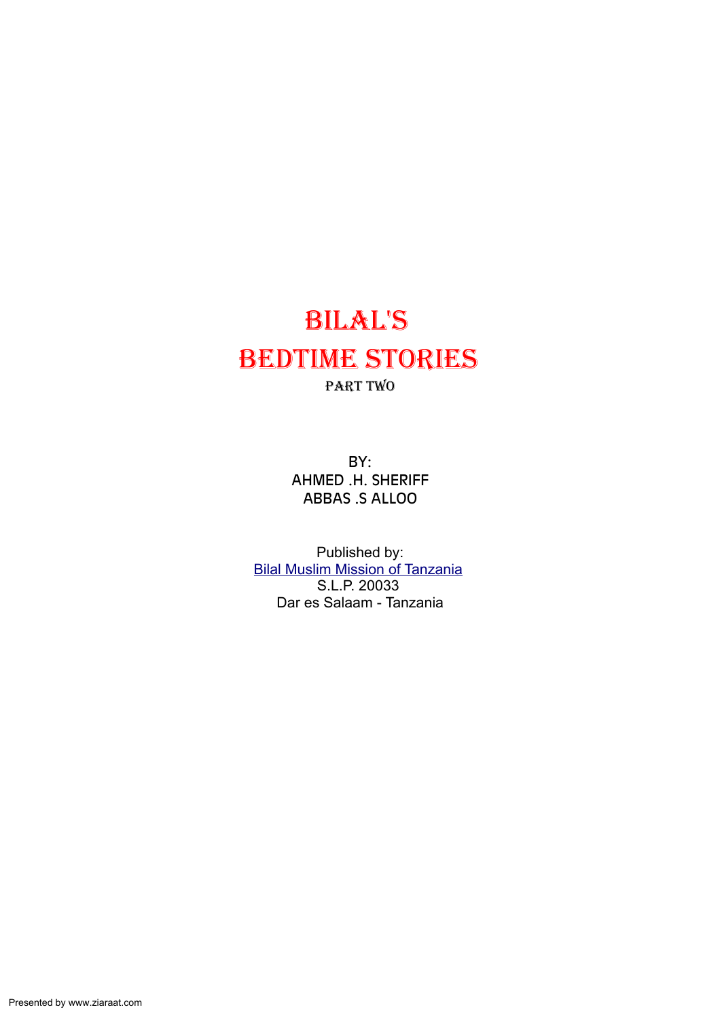# Bilal's Bedtime Stories

part TWO

BY: AHMED .H. SHERIFF ABBAS .S ALLOO

Published by: Bilal [Muslim Mission](http://www.bilaltz.org/) of Tanzania S.L.P. 20033 Dar es Salaam - Tanzania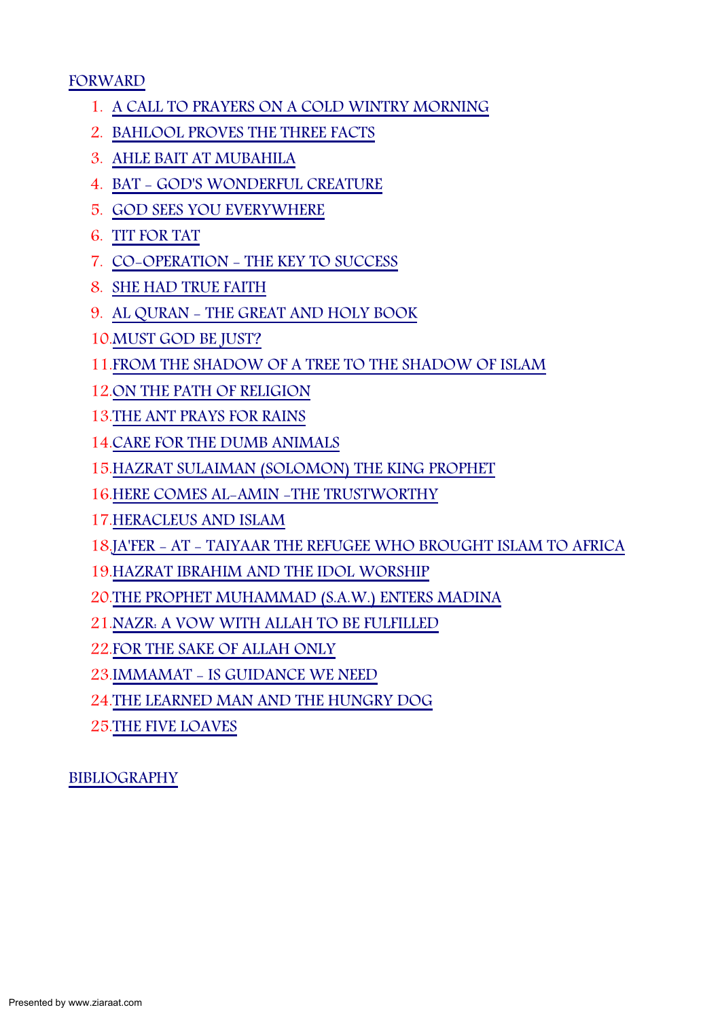[FORWARD](#page-2-0)

- 1. A CALL TO PRAYERS ON A COLD WINTRY [MORNING](#page-3-0)
- 2. BAHLOOL PROVES THE THREE FACTS
- 3. AHLE BAIT AT [MUBAHILA](#page-6-0)
- 4. BAT GOD'S [WONDERFUL](#page-8-0) CREATURE
- 5. GOD SEES YOU [EVERYWHERE](#page-10-0)
- 6. TIT [FOR](#page-11-0) TAT
- 7. [CO-OPERATION](#page-12-0) THE KEY TO SUCCESS
- 8. SHE HAD TRUE [FAITH](#page-13-0)
- 9. AL [QURAN](#page-15-0) THE GREAT AND HOLY BOOK
- 10[. MUST](#page-16-0) GOD BE JUST?
- 11. FROM THE [SHADOW](#page-17-0) OF A TREE TO THE SHADOW OF ISLAM
- 12. ON THE PATH OF [RELIGION](#page-19-0)
- 13.THE ANT [PRAYS](#page-21-0) FOR RAINS
- 14. CARE FOR THE DUMB [ANIMALS](#page-22-0)
- 15.HAZRAT SULAIMAN [\(SOLOMON\)](#page-23-0) THE KING PROPHET
- 16. HERE COMES AL-AMIN -THE [TRUSTWORTHY](#page-24-0)
- 17[. HERACLEUS](#page-25-0) AND ISLAM
- 18.JA'FER AT TAIYAAR THE REFUGEE WHO [BROUGHT](#page-26-0) ISLAM TO AFRICA
- 19. HAZRAT IBRAHIM AND THE IDOL [WORSHIP](#page-28-0)
- 20. THE PROPHET [MUHAMMAD](#page-30-0) (S.A.W.) ENTERS MADINA
- 21. NAZR: A VOW WITH ALLAH TO BE [FULFILLED](#page-32-0)
- 22. FOR THE SAKE OF [ALLAH](#page-34-0) ONLY
- 23. IMMAMAT IS [GUIDANCE](#page-36-0) WE NEED
- 24. THE [LEARNED](#page-38-0) MAN AND THE HUNGRY DOG
- 25.THE FIVE [LOAVES](#page-39-0)

[BIBLIOGRAPHY](#page-40-0)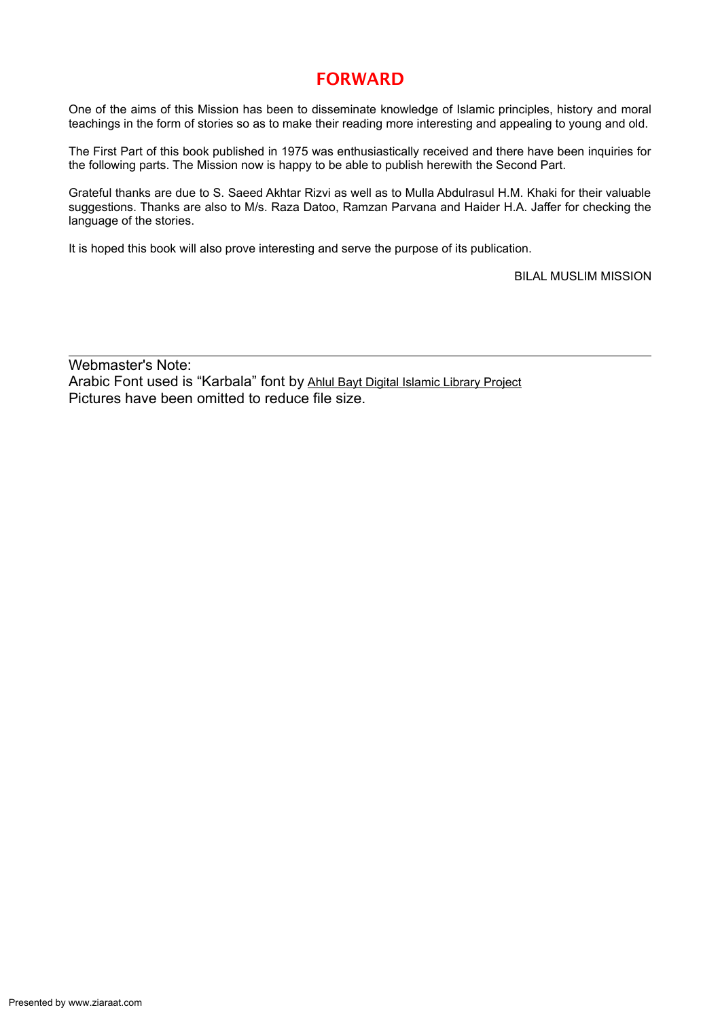## <span id="page-2-0"></span>FORWARD

One of the aims of this Mission has been to disseminate knowledge of Islamic principles, history and moral teachings in the form of stories so as to make their reading more interesting and appealing to young and old.

The First Part of this book published in 1975 was enthusiastically received and there have been inquiries for the following parts. The Mission now is happy to be able to publish herewith the Second Part.

Grateful thanks are due to S. Saeed Akhtar Rizvi as well as to Mulla Abdulrasul H.M. Khaki for their valuable suggestions. Thanks are also to M/s. Raza Datoo, Ramzan Parvana and Haider H.A. Jaffer for checking the language of the stories.

It is hoped this book will also prove interesting and serve the purpose of its publication.

BILAL MUSLIM MISSION

Webmaster's Note: Arabic Font used is "Karbala" font by Ahlul Bayt Digital [Islamic Library Project](http://www.al-islam.org/fonts/Viewing.htm) Pictures have been omitted to reduce file size.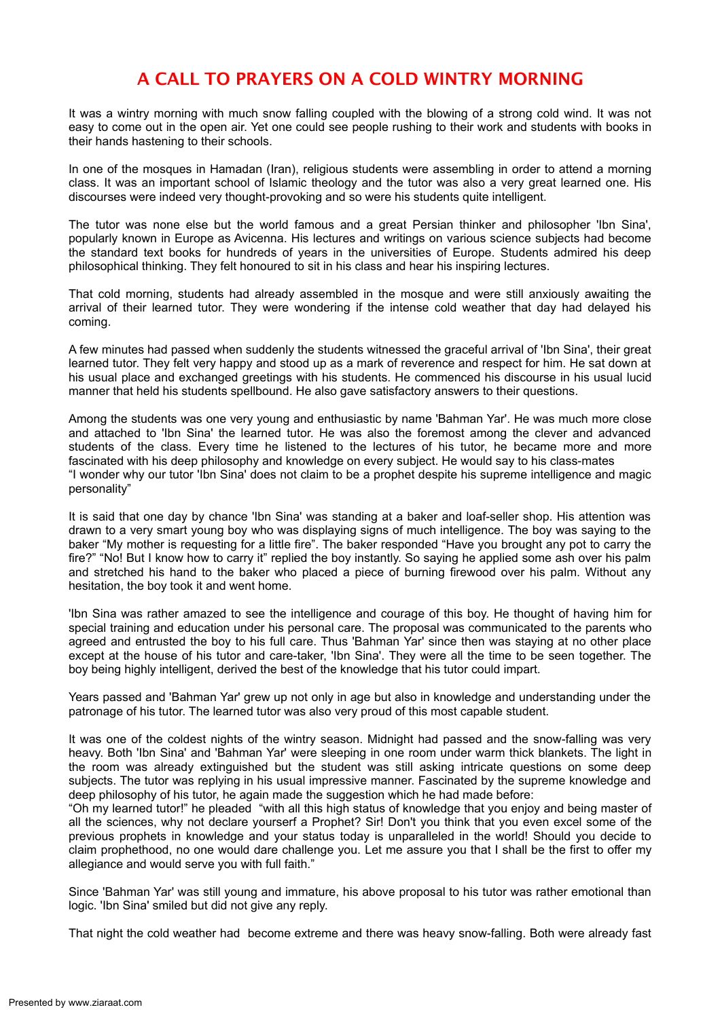# <span id="page-3-0"></span>A CALL TO PRAYERS ON A COLD WINTRY MORNING

It was a wintry morning with much snow falling coupled with the blowing of a strong cold wind. It was not easy to come out in the open air. Yet one could see people rushing to their work and students with books in their hands hastening to their schools.

In one of the mosques in Hamadan (Iran), religious students were assembling in order to attend a morning class. It was an important school of Islamic theology and the tutor was also a very great learned one. His discourses were indeed very thought-provoking and so were his students quite intelligent.

The tutor was none else but the world famous and a great Persian thinker and philosopher 'Ibn Sina', popularly known in Europe as Avicenna. His lectures and writings on various science subjects had become the standard text books for hundreds of years in the universities of Europe. Students admired his deep philosophical thinking. They felt honoured to sit in his class and hear his inspiring lectures.

That cold morning, students had already assembled in the mosque and were still anxiously awaiting the arrival of their learned tutor. They were wondering if the intense cold weather that day had delayed his coming.

A few minutes had passed when suddenly the students witnessed the graceful arrival of 'Ibn Sina', their great learned tutor. They felt very happy and stood up as a mark of reverence and respect for him. He sat down at his usual place and exchanged greetings with his students. He commenced his discourse in his usual lucid manner that held his students spellbound. He also gave satisfactory answers to their questions.

Among the students was one very young and enthusiastic by name 'Bahman Yar'. He was much more close and attached to 'Ibn Sina' the learned tutor. He was also the foremost among the clever and advanced students of the class. Every time he listened to the lectures of his tutor, he became more and more fascinated with his deep philosophy and knowledge on every subject. He would say to his class-mates "I wonder why our tutor 'Ibn Sina' does not claim to be a prophet despite his supreme intelligence and magic personality"

It is said that one day by chance 'Ibn Sina' was standing at a baker and loaf-seller shop. His attention was drawn to a very smart young boy who was displaying signs of much intelligence. The boy was saying to the baker "My mother is requesting for a little fire". The baker responded "Have you brought any pot to carry the fire?" "No! But I know how to carry it" replied the boy instantly. So saying he applied some ash over his palm and stretched his hand to the baker who placed a piece of burning firewood over his palm. Without any hesitation, the boy took it and went home.

'Ibn Sina was rather amazed to see the intelligence and courage of this boy. He thought of having him for special training and education under his personal care. The proposal was communicated to the parents who agreed and entrusted the boy to his full care. Thus 'Bahman Yar' since then was staying at no other place except at the house of his tutor and care-taker, 'Ibn Sina'. They were all the time to be seen together. The boy being highly intelligent, derived the best of the knowledge that his tutor could impart.

Years passed and 'Bahman Yar' grew up not only in age but also in knowledge and understanding under the patronage of his tutor. The learned tutor was also very proud of this most capable student.

It was one of the coldest nights of the wintry season. Midnight had passed and the snow-falling was very heavy. Both 'Ibn Sina' and 'Bahman Yar' were sleeping in one room under warm thick blankets. The light in the room was already extinguished but the student was still asking intricate questions on some deep subjects. The tutor was replying in his usual impressive manner. Fascinated by the supreme knowledge and deep philosophy of his tutor, he again made the suggestion which he had made before:

"Oh my learned tutor!" he pleaded "with all this high status of knowledge that you enjoy and being master of all the sciences, why not declare yourserf a Prophet? Sir! Don't you think that you even excel some of the previous prophets in knowledge and your status today is unparalleled in the world! Should you decide to claim prophethood, no one would dare challenge you. Let me assure you that I shall be the first to offer my allegiance and would serve you with full faith."

Since 'Bahman Yar' was still young and immature, his above proposal to his tutor was rather emotional than logic. 'Ibn Sina' smiled but did not give any reply.

That night the cold weather had become extreme and there was heavy snow-falling. Both were already fast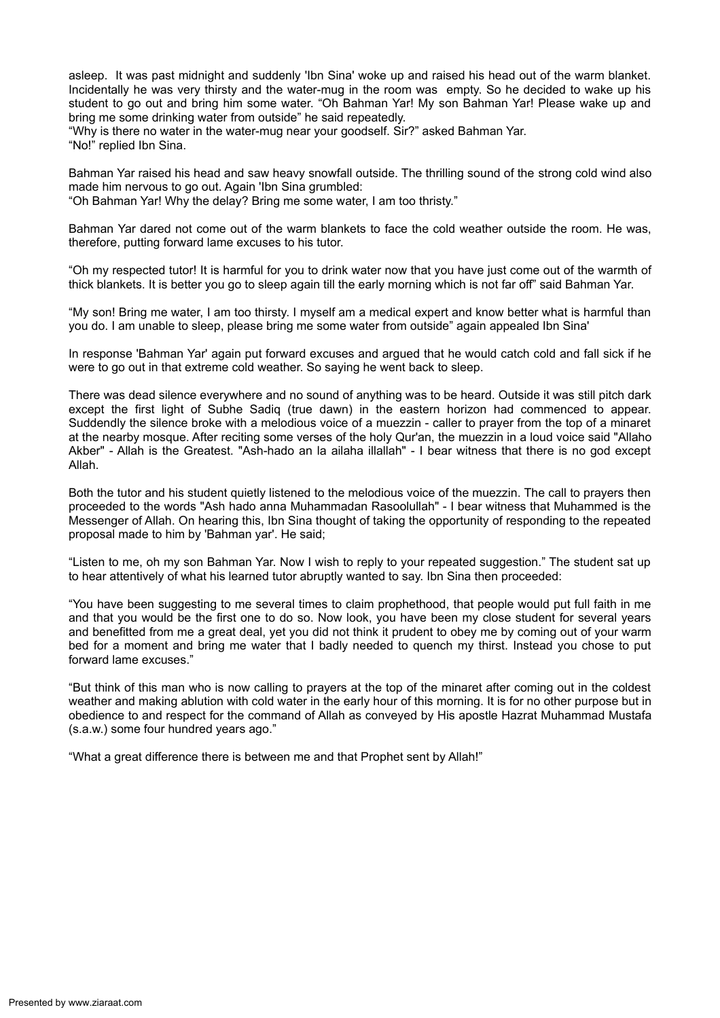asleep. It was past midnight and suddenly 'Ibn Sina' woke up and raised his head out of the warm blanket. Incidentally he was very thirsty and the water-mug in the room was empty. So he decided to wake up his student to go out and bring him some water. "Oh Bahman Yar! My son Bahman Yar! Please wake up and bring me some drinking water from outside" he said repeatedly.

"Why is there no water in the water-mug near your goodself. Sir?" asked Bahman Yar. "No!" replied Ibn Sina.

Bahman Yar raised his head and saw heavy snowfall outside. The thrilling sound of the strong cold wind also made him nervous to go out. Again 'Ibn Sina grumbled:

"Oh Bahman Yar! Why the delay? Bring me some water, I am too thristy."

Bahman Yar dared not come out of the warm blankets to face the cold weather outside the room. He was, therefore, putting forward lame excuses to his tutor.

"Oh my respected tutor! It is harmful for you to drink water now that you have just come out of the warmth of thick blankets. It is better you go to sleep again till the early morning which is not far off" said Bahman Yar.

"My son! Bring me water, I am too thirsty. I myself am a medical expert and know better what is harmful than you do. I am unable to sleep, please bring me some water from outside" again appealed Ibn Sina'

In response 'Bahman Yar' again put forward excuses and argued that he would catch cold and fall sick if he were to go out in that extreme cold weather. So saying he went back to sleep.

There was dead silence everywhere and no sound of anything was to be heard. Outside it was still pitch dark except the first light of Subhe Sadiq (true dawn) in the eastern horizon had commenced to appear. Suddendly the silence broke with a melodious voice of a muezzin - caller to prayer from the top of a minaret at the nearby mosque. After reciting some verses of the holy Qur'an, the muezzin in a loud voice said "Allaho Akber" - Allah is the Greatest. "Ash-hado an la ailaha illallah" - I bear witness that there is no god except Allah.

Both the tutor and his student quietly listened to the melodious voice of the muezzin. The call to prayers then proceeded to the words "Ash hado anna Muhammadan Rasoolullah" - I bear witness that Muhammed is the Messenger of Allah. On hearing this, Ibn Sina thought of taking the opportunity of responding to the repeated proposal made to him by 'Bahman yar'. He said;

"Listen to me, oh my son Bahman Yar. Now I wish to reply to your repeated suggestion." The student sat up to hear attentively of what his learned tutor abruptly wanted to say. Ibn Sina then proceeded:

"You have been suggesting to me several times to claim prophethood, that people would put full faith in me and that you would be the first one to do so. Now look, you have been my close student for several years and benefitted from me a great deal, yet you did not think it prudent to obey me by coming out of your warm bed for a moment and bring me water that I badly needed to quench my thirst. Instead you chose to put forward lame excuses."

"But think of this man who is now calling to prayers at the top of the minaret after coming out in the coldest weather and making ablution with cold water in the early hour of this morning. It is for no other purpose but in obedience to and respect for the command of Allah as conveyed by His apostle Hazrat Muhammad Mustafa (s.a.w.) some four hundred years ago."

"What a great difference there is between me and that Prophet sent by Allah!"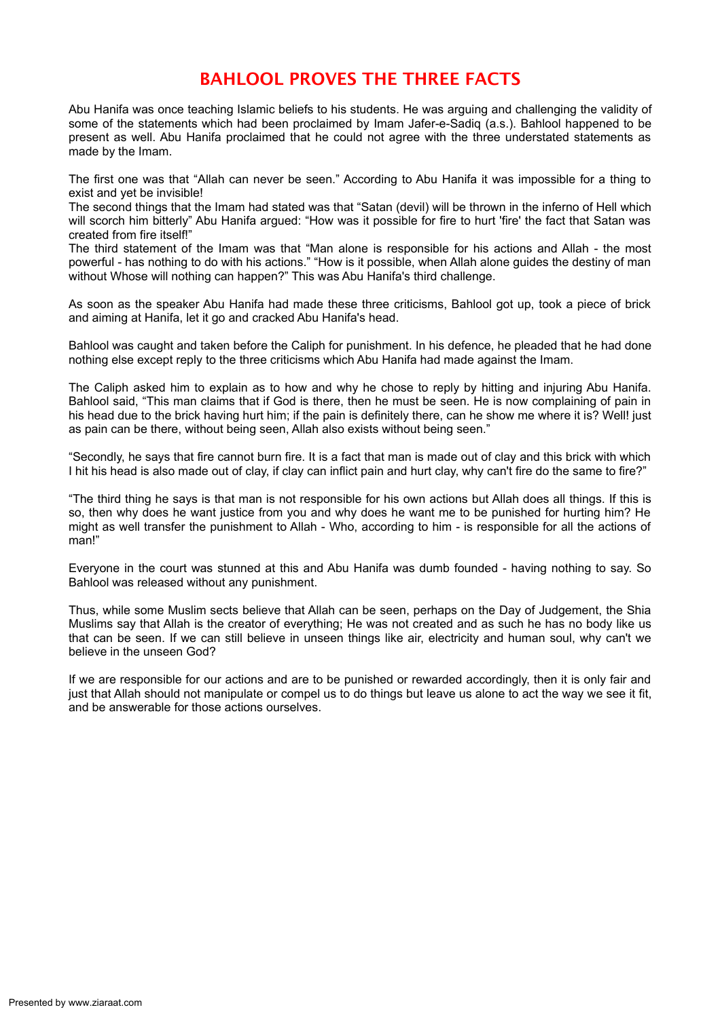# <span id="page-5-0"></span>BAHLOOL PROVES THE THREE FACTS

Abu Hanifa was once teaching Islamic beliefs to his students. He was arguing and challenging the validity of some of the statements which had been proclaimed by Imam Jafer-e-Sadiq (a.s.). Bahlool happened to be present as well. Abu Hanifa proclaimed that he could not agree with the three understated statements as made by the Imam.

The first one was that "Allah can never be seen." According to Abu Hanifa it was impossible for a thing to exist and yet be invisible!

The second things that the Imam had stated was that "Satan (devil) will be thrown in the inferno of Hell which will scorch him bitterly" Abu Hanifa argued: "How was it possible for fire to hurt 'fire' the fact that Satan was created from fire itself!"

The third statement of the Imam was that "Man alone is responsible for his actions and Allah - the most powerful - has nothing to do with his actions." "How is it possible, when Allah alone guides the destiny of man without Whose will nothing can happen?" This was Abu Hanifa's third challenge.

As soon as the speaker Abu Hanifa had made these three criticisms, Bahlool got up, took a piece of brick and aiming at Hanifa, let it go and cracked Abu Hanifa's head.

Bahlool was caught and taken before the Caliph for punishment. In his defence, he pleaded that he had done nothing else except reply to the three criticisms which Abu Hanifa had made against the Imam.

The Caliph asked him to explain as to how and why he chose to reply by hitting and injuring Abu Hanifa. Bahlool said, "This man claims that if God is there, then he must be seen. He is now complaining of pain in his head due to the brick having hurt him; if the pain is definitely there, can he show me where it is? Well! just as pain can be there, without being seen, Allah also exists without being seen."

"Secondly, he says that fire cannot burn fire. It is a fact that man is made out of clay and this brick with which I hit his head is also made out of clay, if clay can inflict pain and hurt clay, why can't fire do the same to fire?"

"The third thing he says is that man is not responsible for his own actions but Allah does all things. If this is so, then why does he want justice from you and why does he want me to be punished for hurting him? He might as well transfer the punishment to Allah - Who, according to him - is responsible for all the actions of man!"

Everyone in the court was stunned at this and Abu Hanifa was dumb founded - having nothing to say. So Bahlool was released without any punishment.

Thus, while some Muslim sects believe that Allah can be seen, perhaps on the Day of Judgement, the Shia Muslims say that Allah is the creator of everything; He was not created and as such he has no body like us that can be seen. If we can still believe in unseen things like air, electricity and human soul, why can't we believe in the unseen God?

If we are responsible for our actions and are to be punished or rewarded accordingly, then it is only fair and just that Allah should not manipulate or compel us to do things but leave us alone to act the way we see it fit, and be answerable for those actions ourselves.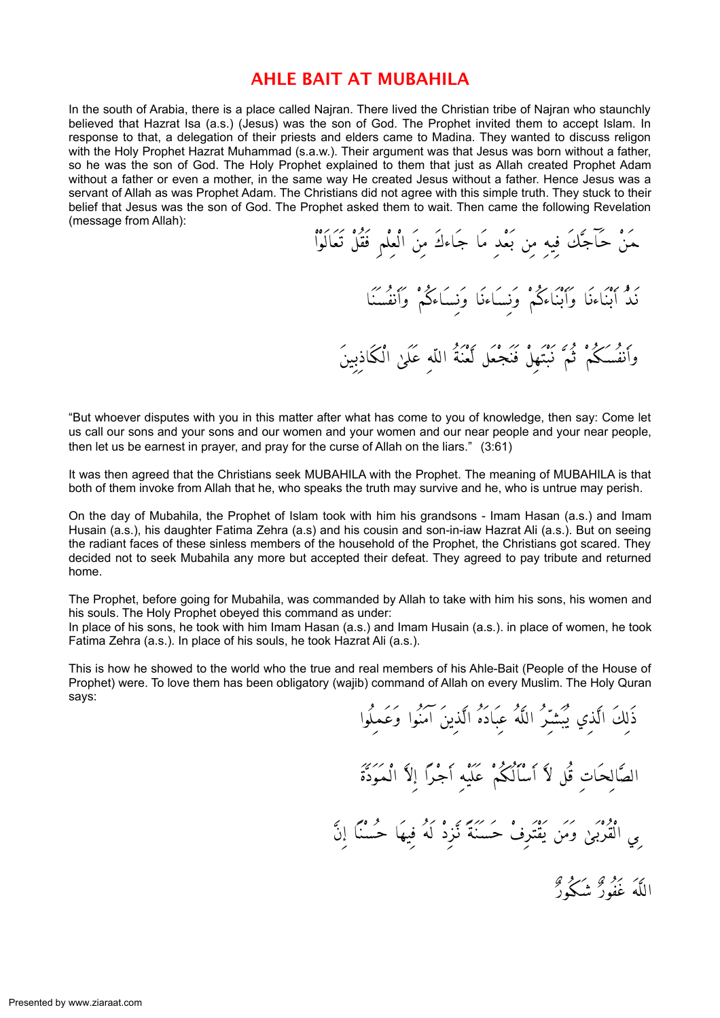#### <span id="page-6-0"></span>AHLE BAIT AT MUBAHILA

In the south of Arabia, there is a place called Najran. There lived the Christian tribe of Najran who staunchly believed that Hazrat Isa (a.s.) (Jesus) was the son of God. The Prophet invited them to accept Islam. In response to that, a delegation of their priests and elders came to Madina. They wanted to discuss religon with the Holy Prophet Hazrat Muhammad (s.a.w.). Their argument was that Jesus was born without a father, so he was the son of God. The Holy Prophet explained to them that just as Allah created Prophet Adam without a father or even a mother, in the same way He created Jesus without a father. Hence Jesus was a servant of Allah as was Prophet Adam. The Christians did not agree with this simple truth. They stuck to their belief that Jesus was the son of God. The Prophet asked them to wait. Then came the following Revelation (message from Allah):

> مَنْ حَاجَّكَ فِيهِ مِن بَعْدِ مَا جَاءكَ مِنَ الْعِلْمِ فَقُلْ تَعَالَوْاْ ر وحُمَدٌ مِنْ أَبْنَاءَنَا وَنِسَاءَنَا وَنِسَاءَكُمْ وَأَنفُسَنَا وَأَنفُسكُمْ ثُمَّ نَبْتَهِلْ فَنَجْعَل لَعْنَةُ اللَّهِ عَلَىٰ الْكَاذِبِينَ

"But whoever disputes with you in this matter after what has come to you of knowledge, then say: Come let us call our sons and your sons and our women and your women and our near people and your near people, then let us be earnest in prayer, and pray for the curse of Allah on the liars." (3:61)

It was then agreed that the Christians seek MUBAHILA with the Prophet. The meaning of MUBAHILA is that both of them invoke from Allah that he, who speaks the truth may survive and he, who is untrue may perish.

On the day of Mubahila, the Prophet of Islam took with him his grandsons - Imam Hasan (a.s.) and Imam Husain (a.s.), his daughter Fatima Zehra (a.s) and his cousin and son-in-iaw Hazrat Ali (a.s.). But on seeing the radiant faces of these sinless members of the household of the Prophet, the Christians got scared. They decided not to seek Mubahila any more but accepted their defeat. They agreed to pay tribute and returned home.

The Prophet, before going for Mubahila, was commanded by Allah to take with him his sons, his women and his souls. The Holy Prophet obeyed this command as under:

In place of his sons, he took with him Imam Hasan (a.s.) and Imam Husain (a.s.). in place of women, he took Fatima Zehra (a.s.). In place of his souls, he took Hazrat Ali (a.s.).

This is how he showed to the world who the true and real members of his Ahle-Bait (People of the House of Prophet) were. To love them has been obligatory (wajib) command of Allah on every Muslim. The Holy Quran says:

ذَلِكَ الَّذِي يُبَشِّرُ اللَّهُ عِبَادَهُ الَّذِينَ آمَنُوا وَعَمِلُوا الصَّالحَات قُل لاَ أَسْأَلُكُمْ عَلَيْهِ أَجْراً إلاَّ الْمَوَدَّةَ وفوه مُن مُرَّ مُشْرَفٌ حَسَنَةً نَّزِدْ لَهُ فِيهَا حُسْنًا إِنَّ ن بر و بر دي.<br>اللَّهُ غَفُورٌ شَكُورٌ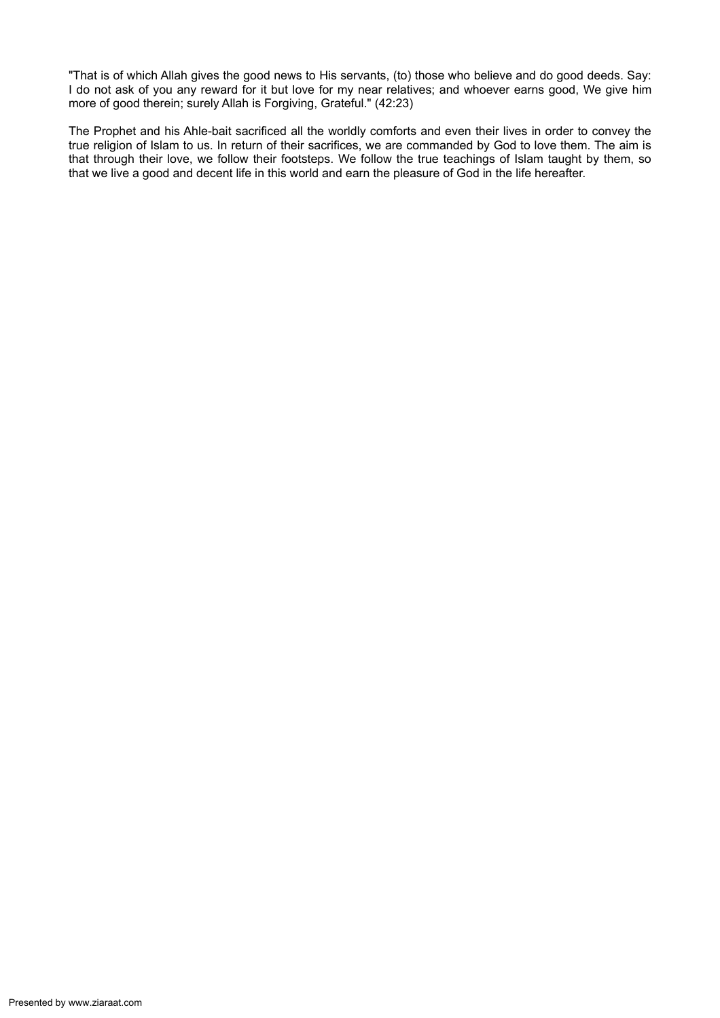"That is of which Allah gives the good news to His servants, (to) those who believe and do good deeds. Say: I do not ask of you any reward for it but love for my near relatives; and whoever earns good, We give him more of good therein; surely Allah is Forgiving, Grateful." (42:23)

The Prophet and his Ahle-bait sacrificed all the worldly comforts and even their lives in order to convey the true religion of Islam to us. In return of their sacrifices, we are commanded by God to love them. The aim is that through their love, we follow their footsteps. We follow the true teachings of Islam taught by them, so that we live a good and decent life in this world and earn the pleasure of God in the life hereafter.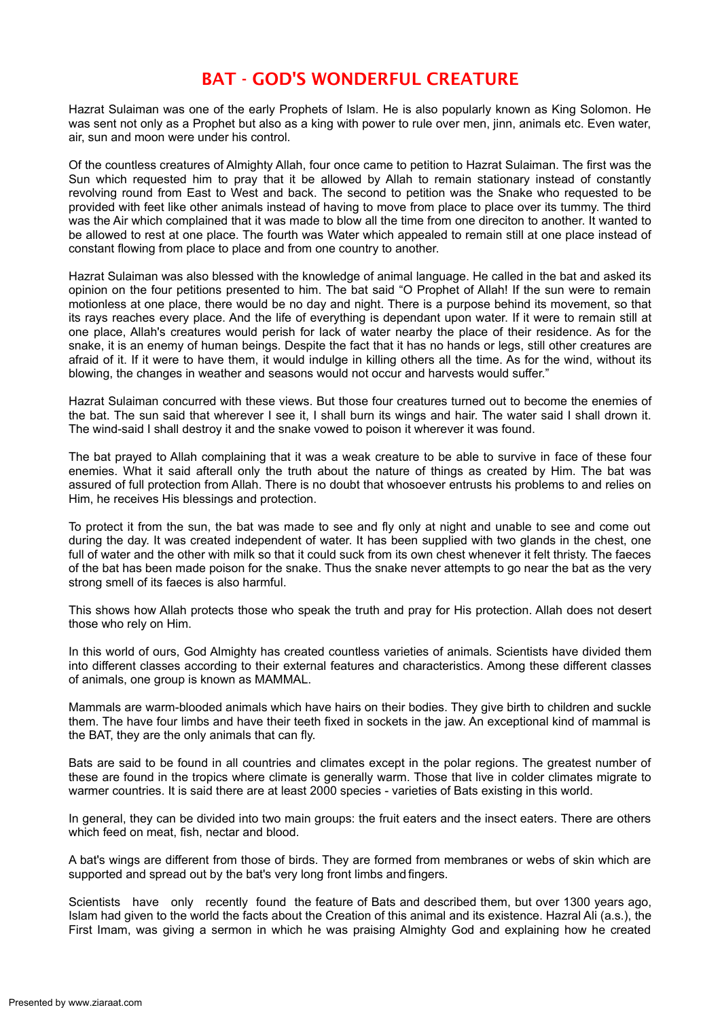# <span id="page-8-0"></span>BAT - GOD'S WONDERFUL CREATURE

Hazrat Sulaiman was one of the early Prophets of Islam. He is also popularly known as King Solomon. He was sent not only as a Prophet but also as a king with power to rule over men, jinn, animals etc. Even water, air, sun and moon were under his control.

Of the countless creatures of Almighty Allah, four once came to petition to Hazrat Sulaiman. The first was the Sun which requested him to pray that it be allowed by Allah to remain stationary instead of constantly revolving round from East to West and back. The second to petition was the Snake who requested to be provided with feet like other animals instead of having to move from place to place over its tummy. The third was the Air which complained that it was made to blow all the time from one direciton to another. It wanted to be allowed to rest at one place. The fourth was Water which appealed to remain still at one place instead of constant flowing from place to place and from one country to another.

Hazrat Sulaiman was also blessed with the knowledge of animal language. He called in the bat and asked its opinion on the four petitions presented to him. The bat said "O Prophet of Allah! If the sun were to remain motionless at one place, there would be no day and night. There is a purpose behind its movement, so that its rays reaches every place. And the life of everything is dependant upon water. If it were to remain still at one place, Allah's creatures would perish for lack of water nearby the place of their residence. As for the snake, it is an enemy of human beings. Despite the fact that it has no hands or legs, still other creatures are afraid of it. If it were to have them, it would indulge in killing others all the time. As for the wind, without its blowing, the changes in weather and seasons would not occur and harvests would suffer."

Hazrat Sulaiman concurred with these views. But those four creatures turned out to become the enemies of the bat. The sun said that wherever I see it, I shall burn its wings and hair. The water said I shall drown it. The wind-said I shall destroy it and the snake vowed to poison it wherever it was found.

The bat prayed to Allah complaining that it was a weak creature to be able to survive in face of these four enemies. What it said afterall only the truth about the nature of things as created by Him. The bat was assured of full protection from Allah. There is no doubt that whosoever entrusts his problems to and relies on Him, he receives His blessings and protection.

To protect it from the sun, the bat was made to see and fly only at night and unable to see and come out during the day. It was created independent of water. It has been supplied with two glands in the chest, one full of water and the other with milk so that it could suck from its own chest whenever it felt thristy. The faeces of the bat has been made poison for the snake. Thus the snake never attempts to go near the bat as the very strong smell of its faeces is also harmful.

This shows how Allah protects those who speak the truth and pray for His protection. Allah does not desert those who rely on Him.

In this world of ours, God Almighty has created countless varieties of animals. Scientists have divided them into different classes according to their external features and characteristics. Among these different classes of animals, one group is known as MAMMAL.

Mammals are warm-blooded animals which have hairs on their bodies. They give birth to children and suckle them. The have four limbs and have their teeth fixed in sockets in the jaw. An exceptional kind of mammal is the BAT, they are the only animals that can fly.

Bats are said to be found in all countries and climates except in the polar regions. The greatest number of these are found in the tropics where climate is generally warm. Those that live in colder climates migrate to warmer countries. It is said there are at least 2000 species - varieties of Bats existing in this world.

In general, they can be divided into two main groups: the fruit eaters and the insect eaters. There are others which feed on meat, fish, nectar and blood.

A bat's wings are different from those of birds. They are formed from membranes or webs of skin which are supported and spread out by the bat's very long front limbs and fingers.

Scientists have only recently found the feature of Bats and described them, but over 1300 years ago, Islam had given to the world the facts about the Creation of this animal and its existence. Hazral Ali (a.s.), the First Imam, was giving a sermon in which he was praising Almighty God and explaining how he created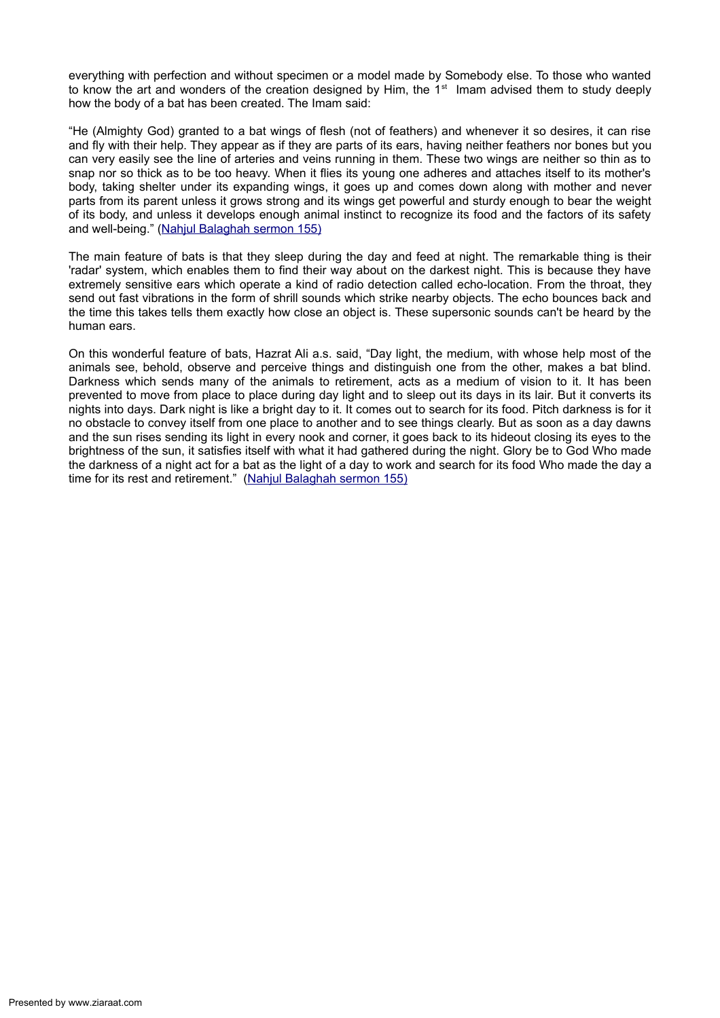everything with perfection and without specimen or a model made by Somebody else. To those who wanted to know the art and wonders of the creation designed by Him, the 1<sup>st</sup> Imam advised them to study deeply how the body of a bat has been created. The Imam said:

"He (Almighty God) granted to a bat wings of flesh (not of feathers) and whenever it so desires, it can rise and fly with their help. They appear as if they are parts of its ears, having neither feathers nor bones but you can very easily see the line of arteries and veins running in them. These two wings are neither so thin as to snap nor so thick as to be too heavy. When it flies its young one adheres and attaches itself to its mother's body, taking shelter under its expanding wings, it goes up and comes down along with mother and never parts from its parent unless it grows strong and its wings get powerful and sturdy enough to bear the weight of its body, and unless it develops enough animal instinct to recognize its food and the factors of its safety and well-being." (Nahjul [Balaghah](http://al-islam.org/nahj/155.htm) sermon 155)

The main feature of bats is that they sleep during the day and feed at night. The remarkable thing is their 'radar' system, which enables them to find their way about on the darkest night. This is because they have extremely sensitive ears which operate a kind of radio detection called echo-location. From the throat, they send out fast vibrations in the form of shrill sounds which strike nearby objects. The echo bounces back and the time this takes tells them exactly how close an object is. These supersonic sounds can't be heard by the human ears.

On this wonderful feature of bats, Hazrat Ali a.s. said, "Day light, the medium, with whose help most of the animals see, behold, observe and perceive things and distinguish one from the other, makes a bat blind. Darkness which sends many of the animals to retirement, acts as a medium of vision to it. It has been prevented to move from place to place during day light and to sleep out its days in its lair. But it converts its nights into days. Dark night is like a bright day to it. It comes out to search for its food. Pitch darkness is for it no obstacle to convey itself from one place to another and to see things clearly. But as soon as a day dawns and the sun rises sending its light in every nook and corner, it goes back to its hideout closing its eyes to the brightness of the sun, it satisfies itself with what it had gathered during the night. Glory be to God Who made the darkness of a night act for a bat as the light of a day to work and search for its food Who made the day a time for its rest and retirement." (Nahjul [Balaghah](http://al-islam.org/nahj/155.htm) sermon 155)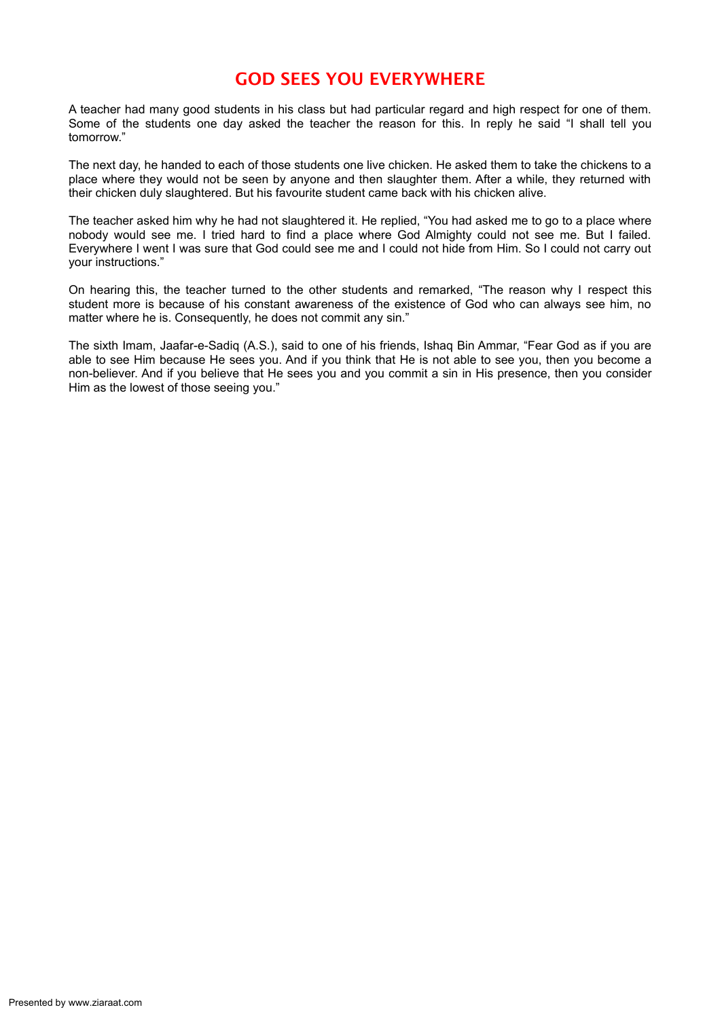# <span id="page-10-0"></span>GOD SEES YOU EVERYWHERE

A teacher had many good students in his class but had particular regard and high respect for one of them. Some of the students one day asked the teacher the reason for this. In reply he said "I shall tell you tomorrow."

The next day, he handed to each of those students one live chicken. He asked them to take the chickens to a place where they would not be seen by anyone and then slaughter them. After a while, they returned with their chicken duly slaughtered. But his favourite student came back with his chicken alive.

The teacher asked him why he had not slaughtered it. He replied, "You had asked me to go to a place where nobody would see me. I tried hard to find a place where God Almighty could not see me. But I failed. Everywhere I went I was sure that God could see me and I could not hide from Him. So I could not carry out your instructions."

On hearing this, the teacher turned to the other students and remarked, "The reason why I respect this student more is because of his constant awareness of the existence of God who can always see him, no matter where he is. Consequently, he does not commit any sin."

The sixth Imam, Jaafar-e-Sadiq (A.S.), said to one of his friends, Ishaq Bin Ammar, "Fear God as if you are able to see Him because He sees you. And if you think that He is not able to see you, then you become a non-believer. And if you believe that He sees you and you commit a sin in His presence, then you consider Him as the lowest of those seeing you."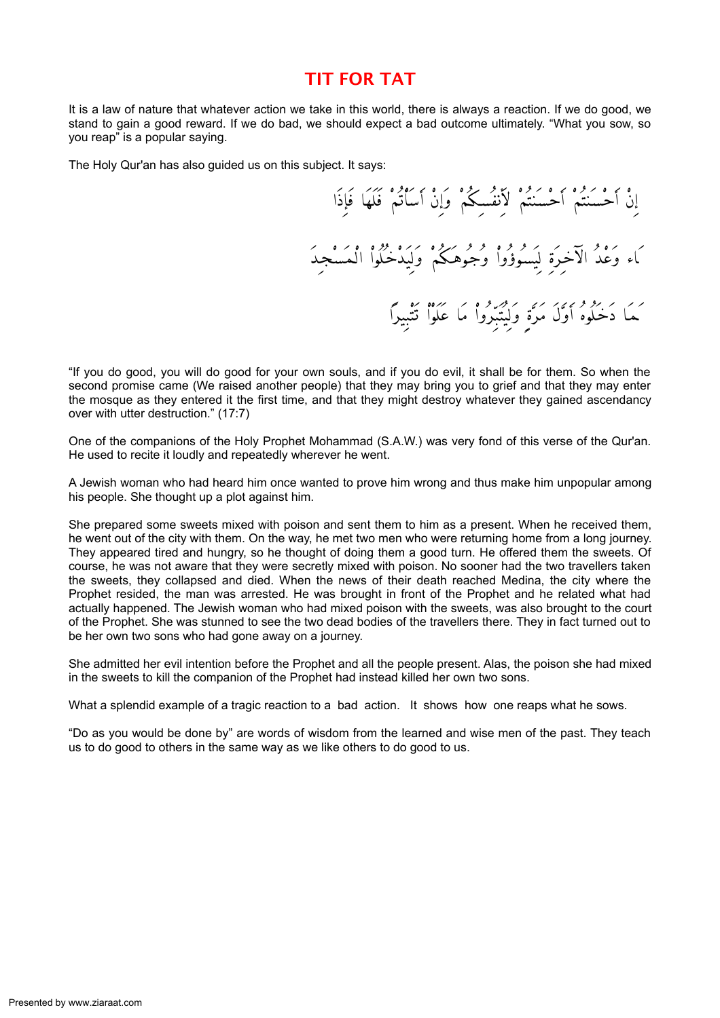#### <span id="page-11-0"></span>TIT FOR TAT

It is a law of nature that whatever action we take in this world, there is always a reaction. If we do good, we stand to gain a good reward. If we do bad, we should expect a bad outcome ultimately. "What you sow, so you reap" is a popular saying.

The Holy Qur'an has also guided us on this subject. It says:

إِنْ أَحْسَنْتُمْ أَحْسَنْتُمْ لِأَنْفُسِكُمْ وَإِنْ أَسَأْتُمْ فَلَهَا فَإِذَا مَاء وَعْدُ الْآخِرَةِ لِيَسُوؤُواْ وُجُوهَكُمْ وَلِيَدْخُلُواْ الْمَسْجِدَ حرك مربوم كمركز مركز مركز وفران مركز والمحفوظ تشبيراً

"If you do good, you will do good for your own souls, and if you do evil, it shall be for them. So when the second promise came (We raised another people) that they may bring you to grief and that they may enter the mosque as they entered it the first time, and that they might destroy whatever they gained ascendancy over with utter destruction." (17:7)

One of the companions of the Holy Prophet Mohammad (S.A.W.) was very fond of this verse of the Qur'an. He used to recite it loudly and repeatedly wherever he went.

A Jewish woman who had heard him once wanted to prove him wrong and thus make him unpopular among his people. She thought up a plot against him.

She prepared some sweets mixed with poison and sent them to him as a present. When he received them, he went out of the city with them. On the way, he met two men who were returning home from a long journey. They appeared tired and hungry, so he thought of doing them a good turn. He offered them the sweets. Of course, he was not aware that they were secretly mixed with poison. No sooner had the two travellers taken the sweets, they collapsed and died. When the news of their death reached Medina, the city where the Prophet resided, the man was arrested. He was brought in front of the Prophet and he related what had actually happened. The Jewish woman who had mixed poison with the sweets, was also brought to the court of the Prophet. She was stunned to see the two dead bodies of the travellers there. They in fact turned out to be her own two sons who had gone away on a journey.

She admitted her evil intention before the Prophet and all the people present. Alas, the poison she had mixed in the sweets to kill the companion of the Prophet had instead killed her own two sons.

What a splendid example of a tragic reaction to a bad action. It shows how one reaps what he sows.

"Do as you would be done by" are words of wisdom from the learned and wise men of the past. They teach us to do good to others in the same way as we like others to do good to us.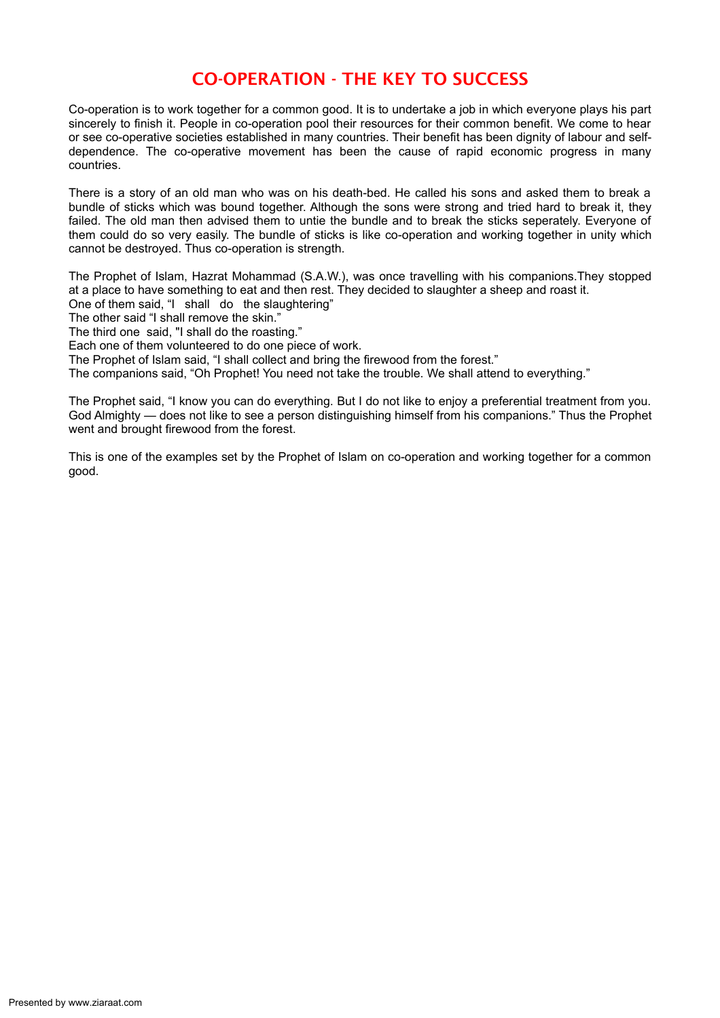# <span id="page-12-0"></span>CO-OPERATION - THE KEY TO SUCCESS

Co-operation is to work together for a common good. It is to undertake a job in which everyone plays his part sincerely to finish it. People in co-operation pool their resources for their common benefit. We come to hear or see co-operative societies established in many countries. Their benefit has been dignity of labour and selfdependence. The co-operative movement has been the cause of rapid economic progress in many countries.

There is a story of an old man who was on his death-bed. He called his sons and asked them to break a bundle of sticks which was bound together. Although the sons were strong and tried hard to break it, they failed. The old man then advised them to untie the bundle and to break the sticks seperately. Everyone of them could do so very easily. The bundle of sticks is like co-operation and working together in unity which cannot be destroyed. Thus co-operation is strength.

The Prophet of Islam, Hazrat Mohammad (S.A.W.), was once travelling with his companions.They stopped at a place to have something to eat and then rest. They decided to slaughter a sheep and roast it.

One of them said, "I shall do the slaughtering"

The other said "I shall remove the skin."

The third one said, "I shall do the roasting."

Each one of them volunteered to do one piece of work.

The Prophet of Islam said, "I shall collect and bring the firewood from the forest."

The companions said, "Oh Prophet! You need not take the trouble. We shall attend to everything."

The Prophet said, "I know you can do everything. But I do not like to enjoy a preferential treatment from you. God Almighty — does not like to see a person distinguishing himself from his companions." Thus the Prophet went and brought firewood from the forest.

This is one of the examples set by the Prophet of Islam on co-operation and working together for a common good.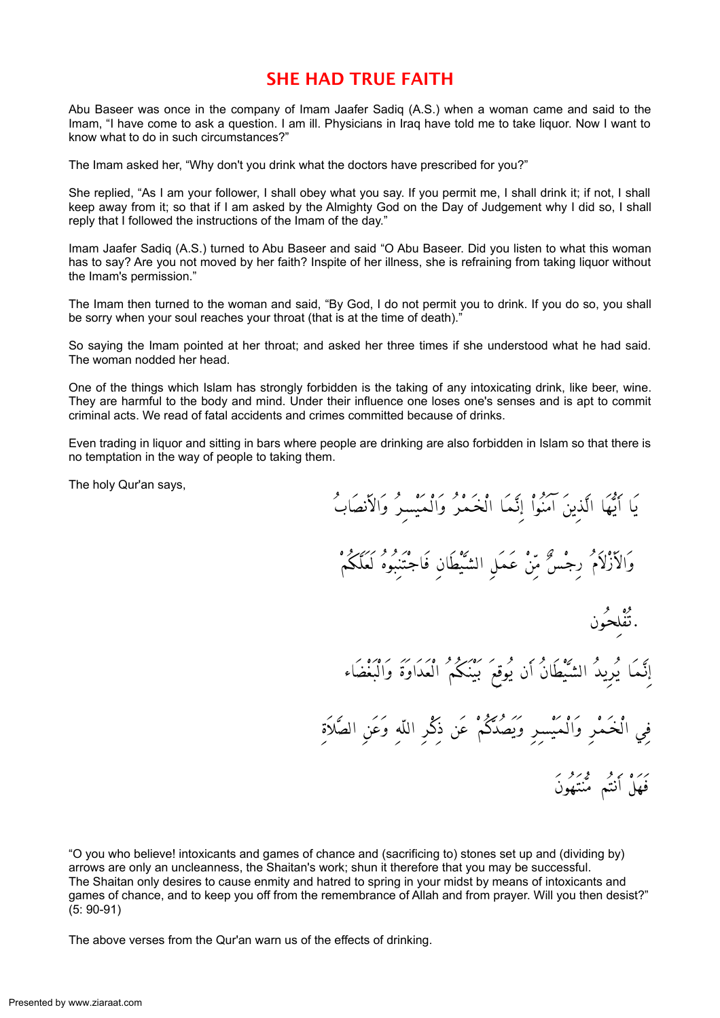# <span id="page-13-0"></span>SHE HAD TRUE FAITH

Abu Baseer was once in the company of Imam Jaafer Sadiq (A.S.) when a woman came and said to the Imam, "I have come to ask a question. I am ill. Physicians in Iraq have told me to take liquor. Now I want to know what to do in such circumstances?"

The Imam asked her, "Why don't you drink what the doctors have prescribed for you?"

She replied, "As I am your follower, I shall obey what you say. If you permit me, I shall drink it; if not, I shall keep away from it; so that if I am asked by the Almighty God on the Day of Judgement why I did so, I shall reply that I followed the instructions of the Imam of the day."

Imam Jaafer Sadiq (A.S.) turned to Abu Baseer and said "O Abu Baseer. Did you listen to what this woman has to say? Are you not moved by her faith? Inspite of her illness, she is refraining from taking liquor without the Imam's permission."

The Imam then turned to the woman and said, "By God, I do not permit you to drink. If you do so, you shall be sorry when your soul reaches your throat (that is at the time of death)."

So saying the Imam pointed at her throat; and asked her three times if she understood what he had said. The woman nodded her head.

One of the things which Islam has strongly forbidden is the taking of any intoxicating drink, like beer, wine. They are harmful to the body and mind. Under their influence one loses one's senses and is apt to commit criminal acts. We read of fatal accidents and crimes committed because of drinks.

Even trading in liquor and sitting in bars where people are drinking are also forbidden in Islam so that there is no temptation in the way of people to taking them.

The holy Qur'an says,

يَا أَيُّهَا الَّذِينَ آمَنُواْ إِنَّمَا الْخَمْرُ وَالْمَيْسِرُ وَالأَنصَابُ وَالأَزْلاَمُ رِجْسٌ مِّنْ عَمَلِ الشَّيْطَانِ فَاجْتَنبُوه لَعَلَّكُمْ وه و<br>.تفلحون إِنَّمَا مُرِيدُ الشَّيْطَانُ أَن يُوقِعُ بَيْنَكُمُ الْعَدَاوَةَ وَالْبُغْضَاء فِي الْخَمْدِ وَالْمَيْسِدِ وَيَصْدَّكُمْ عَن ذِكْرِ اللّهِ وَعَنِ الصَّلاَةِ بره برو<br>فهل أنتم مُنتهونَ

"O you who believe! intoxicants and games of chance and (sacrificing to) stones set up and (dividing by) arrows are only an uncleanness, the Shaitan's work; shun it therefore that you may be successful. The Shaitan only desires to cause enmity and hatred to spring in your midst by means of intoxicants and games of chance, and to keep you off from the remembrance of Allah and from prayer. Will you then desist?" (5: 90-91)

The above verses from the Qur'an warn us of the effects of drinking.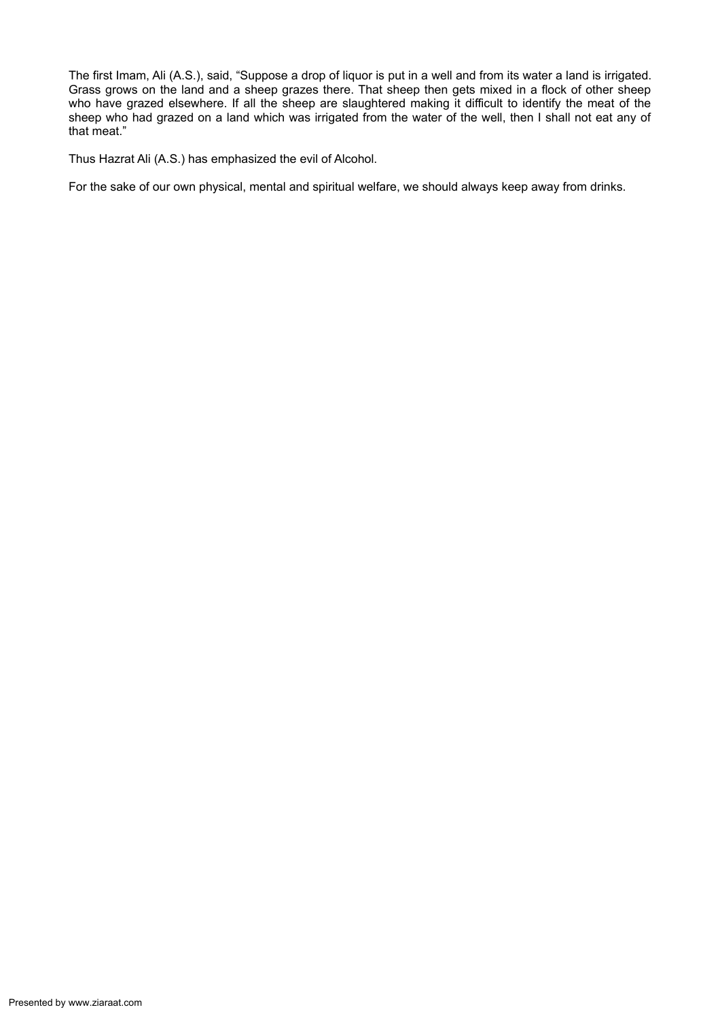The first Imam, Ali (A.S.), said, "Suppose a drop of liquor is put in a well and from its water a land is irrigated. Grass grows on the land and a sheep grazes there. That sheep then gets mixed in a flock of other sheep who have grazed elsewhere. If all the sheep are slaughtered making it difficult to identify the meat of the sheep who had grazed on a land which was irrigated from the water of the well, then I shall not eat any of that meat."

Thus Hazrat Ali (A.S.) has emphasized the evil of Alcohol.

For the sake of our own physical, mental and spiritual welfare, we should always keep away from drinks.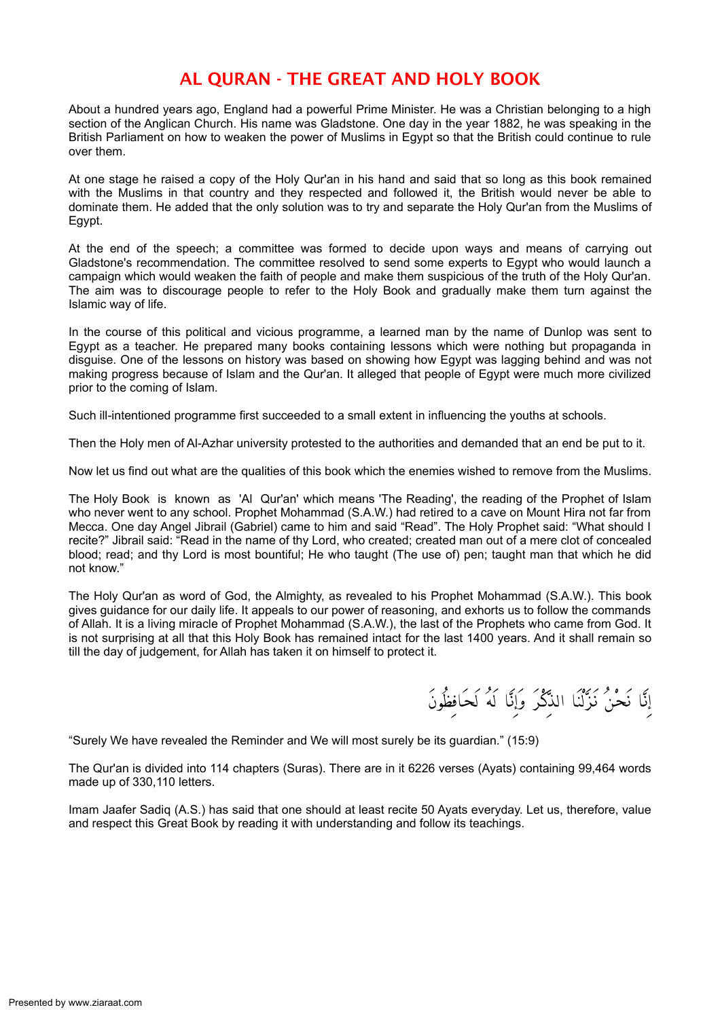# <span id="page-15-0"></span>AL QURAN - THE GREAT AND HOLY BOOK

About a hundred years ago, England had a powerful Prime Minister. He was a Christian belonging to a high section of the Anglican Church. His name was Gladstone. One day in the year 1882, he was speaking in the British Parliament on how to weaken the power of Muslims in Egypt so that the British could continue to rule over them.

At one stage he raised a copy of the Holy Qur'an in his hand and said that so long as this book remained with the Muslims in that country and they respected and followed it, the British would never be able to dominate them. He added that the only solution was to try and separate the Holy Qur'an from the Muslims of Egypt.

At the end of the speech; a committee was formed to decide upon ways and means of carrying out Gladstone's recommendation. The committee resolved to send some experts to Egypt who would launch a campaign which would weaken the faith of people and make them suspicious of the truth of the Holy Qur'an. The aim was to discourage people to refer to the Holy Book and gradually make them turn against the Islamic way of life.

In the course of this political and vicious programme, a learned man by the name of Dunlop was sent to Egypt as a teacher. He prepared many books containing lessons which were nothing but propaganda in disguise. One of the lessons on history was based on showing how Egypt was lagging behind and was not making progress because of Islam and the Qur'an. It alleged that people of Egypt were much more civilized prior to the coming of Islam.

Such ill-intentioned programme first succeeded to a small extent in influencing the youths at schools.

Then the Holy men of Al-Azhar university protested to the authorities and demanded that an end be put to it.

Now let us find out what are the qualities of this book which the enemies wished to remove from the Muslims.

The Holy Book is known as 'Al Qur'an' which means 'The Reading', the reading of the Prophet of Islam who never went to any school. Prophet Mohammad (S.A.W.) had retired to a cave on Mount Hira not far from Mecca. One day Angel Jibrail (Gabriel) came to him and said "Read". The Holy Prophet said: "What should I recite?" Jibrail said: "Read in the name of thy Lord, who created; created man out of a mere clot of concealed blood; read; and thy Lord is most bountiful; He who taught (The use of) pen; taught man that which he did not know."

The Holy Qur'an as word of God, the Almighty, as revealed to his Prophet Mohammad (S.A.W.). This book gives guidance for our daily life. It appeals to our power of reasoning, and exhorts us to follow the commands of Allah. It is a living miracle of Prophet Mohammad (S.A.W.), the last of the Prophets who came from God. It is not surprising at all that this Holy Book has remained intact for the last 1400 years. And it shall remain so till the day of judgement, for Allah has taken it on himself to protect it.

إِنَّا نَحْنُ نَزَّلْنَا الذِّكْرَ وَإِنَّا لَهُ لَحَافِظُونَ

"Surely We have revealed the Reminder and We will most surely be its guardian." (15:9)

The Qur'an is divided into 114 chapters (Suras). There are in it 6226 verses (Ayats) containing 99,464 words made up of 330,110 letters.

Imam Jaafer Sadiq (A.S.) has said that one should at least recite 50 Ayats everyday. Let us, therefore, value and respect this Great Book by reading it with understanding and follow its teachings.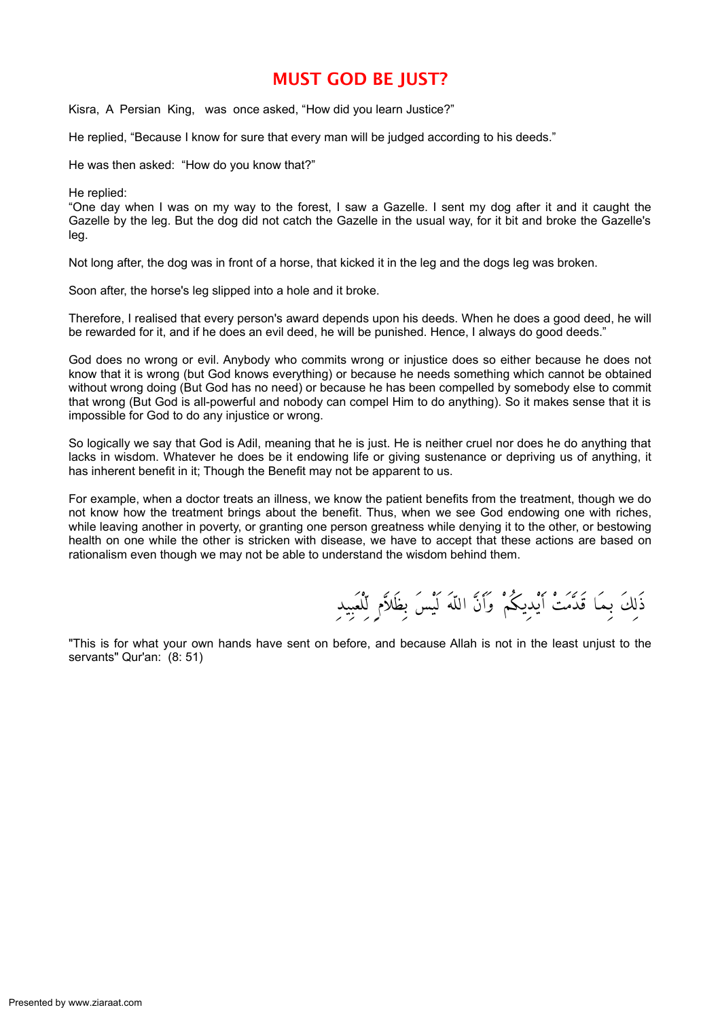# <span id="page-16-0"></span>MUST GOD BE JUST?

Kisra, A Persian King, was once asked, "How did you learn Justice?"

He replied, "Because I know for sure that every man will be judged according to his deeds."

He was then asked: "How do you know that?"

He replied:

"One day when I was on my way to the forest, I saw a Gazelle. I sent my dog after it and it caught the Gazelle by the leg. But the dog did not catch the Gazelle in the usual way, for it bit and broke the Gazelle's leg.

Not long after, the dog was in front of a horse, that kicked it in the leg and the dogs leg was broken.

Soon after, the horse's leg slipped into a hole and it broke.

Therefore, I realised that every person's award depends upon his deeds. When he does a good deed, he will be rewarded for it, and if he does an evil deed, he will be punished. Hence, I always do good deeds."

God does no wrong or evil. Anybody who commits wrong or injustice does so either because he does not know that it is wrong (but God knows everything) or because he needs something which cannot be obtained without wrong doing (But God has no need) or because he has been compelled by somebody else to commit that wrong (But God is all-powerful and nobody can compel Him to do anything). So it makes sense that it is impossible for God to do any injustice or wrong.

So logically we say that God is Adil, meaning that he is just. He is neither cruel nor does he do anything that lacks in wisdom. Whatever he does be it endowing life or giving sustenance or depriving us of anything, it has inherent benefit in it; Though the Benefit may not be apparent to us.

For example, when a doctor treats an illness, we know the patient benefits from the treatment, though we do not know how the treatment brings about the benefit. Thus, when we see God endowing one with riches, while leaving another in poverty, or granting one person greatness while denying it to the other, or bestowing health on one while the other is stricken with disease, we have to accept that these actions are based on rationalism even though we may not be able to understand the wisdom behind them.

ذَلكَ بمَا قَدَّمَتْ أَيْديكُمْ ۖ وَأَنَّ اللَّهَ لَيْسَ بِظَلاَّمِ لِلْعَبِيدِ

"This is for what your own hands have sent on before, and because Allah is not in the least unjust to the servants" Qur'an: (8: 51)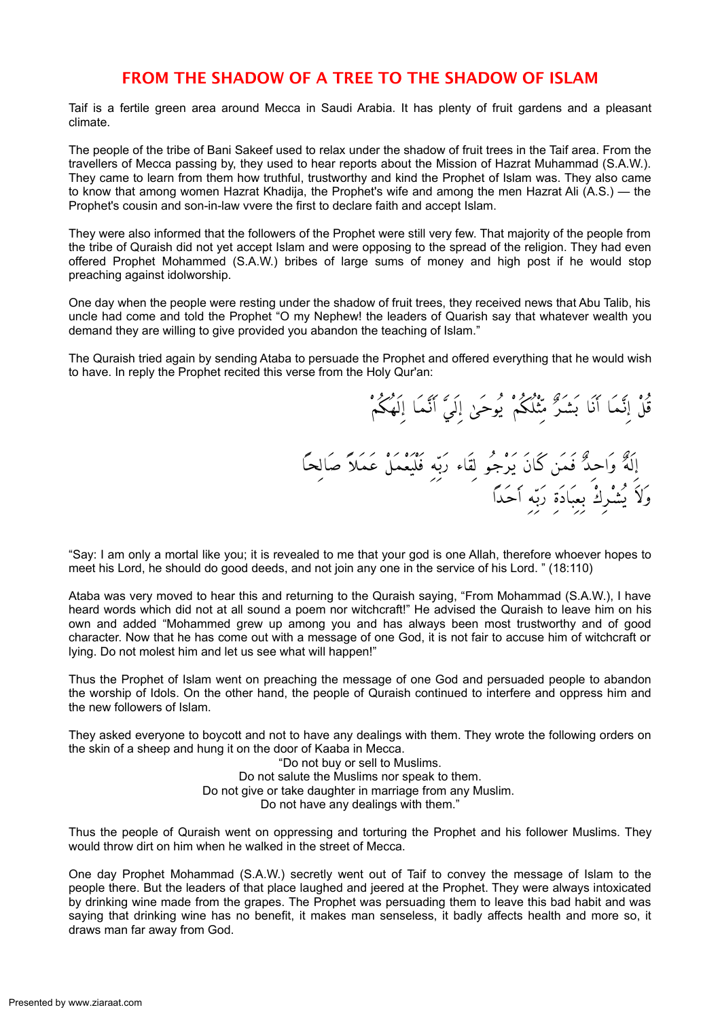#### <span id="page-17-0"></span>FROM THE SHADOW OF A TREE TO THE SHADOW OF ISLAM

Taif is a fertile green area around Mecca in Saudi Arabia. It has plenty of fruit gardens and a pleasant climate.

The people of the tribe of Bani Sakeef used to relax under the shadow of fruit trees in the Taif area. From the travellers of Mecca passing by, they used to hear reports about the Mission of Hazrat Muhammad (S.A.W.). They came to learn from them how truthful, trustworthy and kind the Prophet of Islam was. They also came to know that among women Hazrat Khadija, the Prophet's wife and among the men Hazrat Ali (A.S.) — the Prophet's cousin and son-in-law vvere the first to declare faith and accept Islam.

They were also informed that the followers of the Prophet were still very few. That majority of the people from the tribe of Quraish did not yet accept Islam and were opposing to the spread of the religion. They had even offered Prophet Mohammed (S.A.W.) bribes of large sums of money and high post if he would stop preaching against idolworship.

One day when the people were resting under the shadow of fruit trees, they received news that Abu Talib, his uncle had come and told the Prophet "O my Nephew! the leaders of Quarish say that whatever wealth you demand they are willing to give provided you abandon the teaching of Islam."

The Quraish tried again by sending Ataba to persuade the Prophet and offered everything that he would wish to have. In reply the Prophet recited this verse from the Holy Qur'an:

وُهُ إِنَّمَا أَنَا بَدَيْرٌ وَمُثَلِّكُمْ يُوحَىٰ إِلَيَّ أَنَّمَا إِلَهُكُمْ

ولا يُشْرِكْ بِعِبَادَةِ رَبِّهِ أحداً

إِلَٰهٌ وَاحِدٌ فَمَن كَانَ يَرْجُو لِقَاءَ رَبِّهِ فَلَيْعَمَلْ عَمَلاً صَالِحًا

"Say: I am only a mortal like you; it is revealed to me that your god is one Allah, therefore whoever hopes to meet his Lord, he should do good deeds, and not join any one in the service of his Lord. " (18:110)

Ataba was very moved to hear this and returning to the Quraish saying, "From Mohammad (S.A.W.), I have heard words which did not at all sound a poem nor witchcraft!" He advised the Quraish to leave him on his own and added "Mohammed grew up among you and has always been most trustworthy and of good character. Now that he has come out with a message of one God, it is not fair to accuse him of witchcraft or lying. Do not molest him and let us see what will happen!"

Thus the Prophet of Islam went on preaching the message of one God and persuaded people to abandon the worship of Idols. On the other hand, the people of Quraish continued to interfere and oppress him and the new followers of Islam.

They asked everyone to boycott and not to have any dealings with them. They wrote the following orders on the skin of a sheep and hung it on the door of Kaaba in Mecca.

> "Do not buy or sell to Muslims. Do not salute the Muslims nor speak to them. Do not give or take daughter in marriage from any Muslim. Do not have any dealings with them."

Thus the people of Quraish went on oppressing and torturing the Prophet and his follower Muslims. They would throw dirt on him when he walked in the street of Mecca.

One day Prophet Mohammad (S.A.W.) secretly went out of Taif to convey the message of Islam to the people there. But the leaders of that place laughed and jeered at the Prophet. They were always intoxicated by drinking wine made from the grapes. The Prophet was persuading them to leave this bad habit and was saying that drinking wine has no benefit, it makes man senseless, it badly affects health and more so, it draws man far away from God.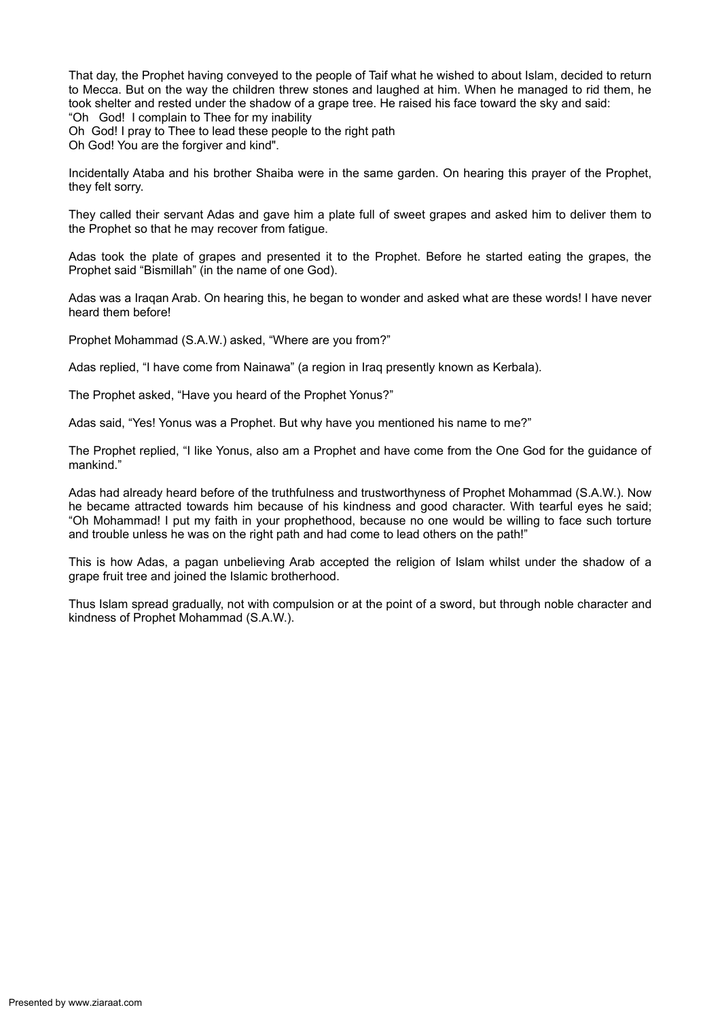That day, the Prophet having conveyed to the people of Taif what he wished to about Islam, decided to return to Mecca. But on the way the children threw stones and laughed at him. When he managed to rid them, he took shelter and rested under the shadow of a grape tree. He raised his face toward the sky and said: "Oh God! I complain to Thee for my inability

Oh God! I pray to Thee to lead these people to the right path

Oh God! You are the forgiver and kind".

Incidentally Ataba and his brother Shaiba were in the same garden. On hearing this prayer of the Prophet, they felt sorry.

They called their servant Adas and gave him a plate full of sweet grapes and asked him to deliver them to the Prophet so that he may recover from fatigue.

Adas took the plate of grapes and presented it to the Prophet. Before he started eating the grapes, the Prophet said "Bismillah" (in the name of one God).

Adas was a Iraqan Arab. On hearing this, he began to wonder and asked what are these words! I have never heard them before!

Prophet Mohammad (S.A.W.) asked, "Where are you from?"

Adas replied, "I have come from Nainawa" (a region in Iraq presently known as Kerbala).

The Prophet asked, "Have you heard of the Prophet Yonus?"

Adas said, "Yes! Yonus was a Prophet. But why have you mentioned his name to me?"

The Prophet replied, "I like Yonus, also am a Prophet and have come from the One God for the guidance of mankind."

Adas had already heard before of the truthfulness and trustworthyness of Prophet Mohammad (S.A.W.). Now he became attracted towards him because of his kindness and good character. With tearful eyes he said; "Oh Mohammad! I put my faith in your prophethood, because no one would be willing to face such torture and trouble unless he was on the right path and had come to lead others on the path!"

This is how Adas, a pagan unbelieving Arab accepted the religion of Islam whilst under the shadow of a grape fruit tree and joined the Islamic brotherhood.

Thus Islam spread gradually, not with compulsion or at the point of a sword, but through noble character and kindness of Prophet Mohammad (S.A.W.).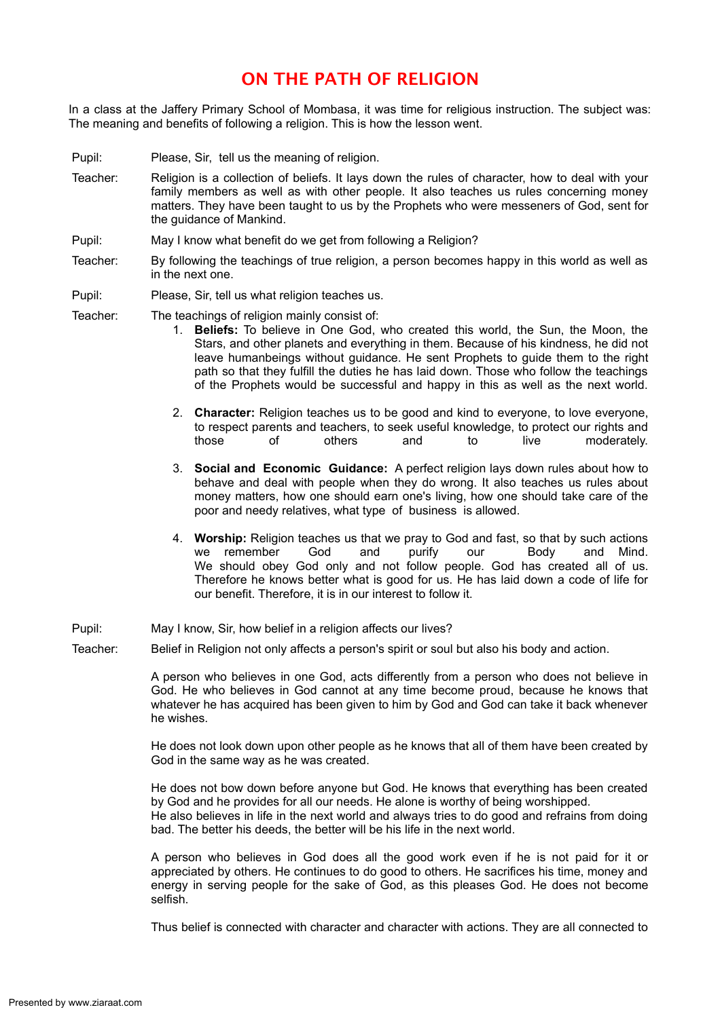# <span id="page-19-0"></span>ON THE PATH OF RELIGION

In a class at the Jaffery Primary School of Mombasa, it was time for religious instruction. The subject was: The meaning and benefits of following a religion. This is how the lesson went.

- Pupil: Please, Sir, tell us the meaning of religion.
- Teacher: Religion is a collection of beliefs. It lays down the rules of character, how to deal with your family members as well as with other people. It also teaches us rules concerning money matters. They have been taught to us by the Prophets who were messeners of God, sent for the guidance of Mankind.
- Pupil: May I know what benefit do we get from following a Religion?
- Teacher: By following the teachings of true religion, a person becomes happy in this world as well as in the next one.

Pupil: Please, Sir, tell us what religion teaches us.

Teacher: The teachings of religion mainly consist of:

- 1. **Beliefs:** To believe in One God, who created this world, the Sun, the Moon, the Stars, and other planets and everything in them. Because of his kindness, he did not leave humanbeings without guidance. He sent Prophets to guide them to the right path so that they fulfill the duties he has laid down. Those who follow the teachings of the Prophets would be successful and happy in this as well as the next world.
- 2. **Character:** Religion teaches us to be good and kind to everyone, to love everyone, to respect parents and teachers, to seek useful knowledge, to protect our rights and those of others and to live moderately.
- 3. **Social and Economic Guidance:** A perfect religion lays down rules about how to behave and deal with people when they do wrong. It also teaches us rules about money matters, how one should earn one's living, how one should take care of the poor and needy relatives, what type of business is allowed.
- 4. **Worship:** Religion teaches us that we pray to God and fast, so that by such actions we remember God and purify our Body and Mind. We should obey God only and not follow people. God has created all of us. Therefore he knows better what is good for us. He has laid down a code of life for our benefit. Therefore, it is in our interest to follow it.
- Pupil: May I know, Sir, how belief in a religion affects our lives?
- Teacher: Belief in Religion not only affects a person's spirit or soul but also his body and action.

A person who believes in one God, acts differently from a person who does not believe in God. He who believes in God cannot at any time become proud, because he knows that whatever he has acquired has been given to him by God and God can take it back whenever he wishes.

He does not look down upon other people as he knows that all of them have been created by God in the same way as he was created.

He does not bow down before anyone but God. He knows that everything has been created by God and he provides for all our needs. He alone is worthy of being worshipped. He also believes in life in the next world and always tries to do good and refrains from doing bad. The better his deeds, the better will be his life in the next world.

A person who believes in God does all the good work even if he is not paid for it or appreciated by others. He continues to do good to others. He sacrifices his time, money and energy in serving people for the sake of God, as this pleases God. He does not become selfish.

Thus belief is connected with character and character with actions. They are all connected to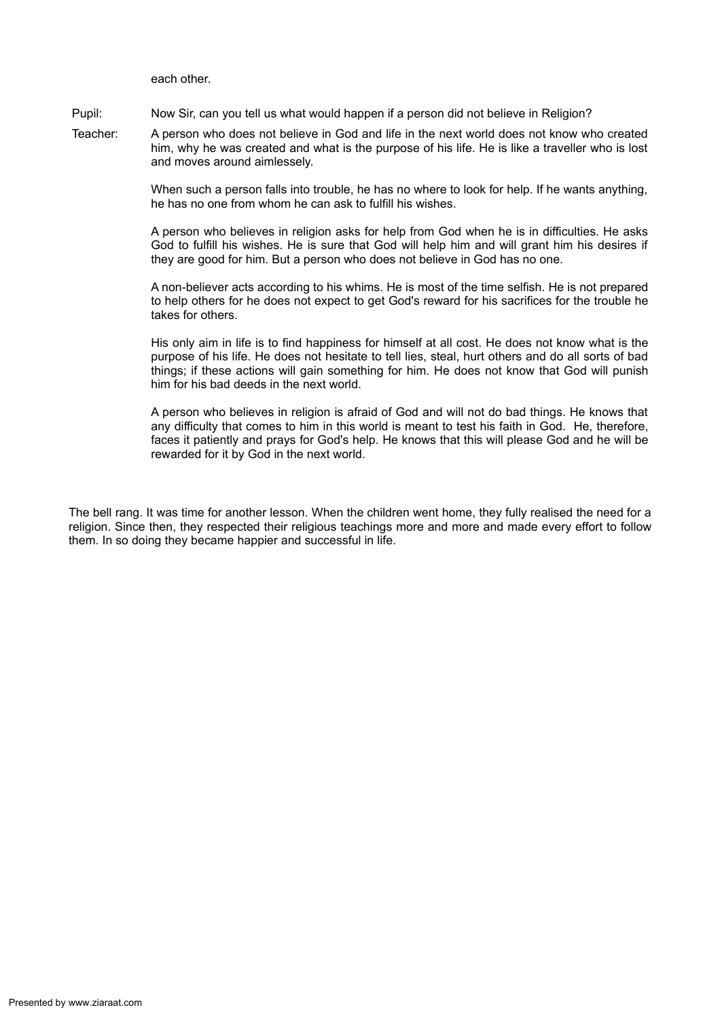each other.

Pupil: Now Sir, can you tell us what would happen if a person did not believe in Religion?

Teacher: A person who does not believe in God and life in the next world does not know who created him, why he was created and what is the purpose of his life. He is like a traveller who is lost and moves around aimlessely.

> When such a person falls into trouble, he has no where to look for help. If he wants anything, he has no one from whom he can ask to fulfill his wishes.

> A person who believes in religion asks for help from God when he is in difficulties. He asks God to fulfill his wishes. He is sure that God will help him and will grant him his desires if they are good for him. But a person who does not believe in God has no one.

> A non-believer acts according to his whims. He is most of the time selfish. He is not prepared to help others for he does not expect to get God's reward for his sacrifices for the trouble he takes for others.

> His only aim in life is to find happiness for himself at all cost. He does not know what is the purpose of his life. He does not hesitate to tell lies, steal, hurt others and do all sorts of bad things; if these actions will gain something for him. He does not know that God will punish him for his bad deeds in the next world.

> A person who believes in religion is afraid of God and will not do bad things. He knows that any difficulty that comes to him in this world is meant to test his faith in God. He, therefore, faces it patiently and prays for God's help. He knows that this will please God and he will be rewarded for it by God in the next world.

The bell rang. It was time for another lesson. When the children went home, they fully realised the need for a religion. Since then, they respected their religious teachings more and more and made every effort to follow them. In so doing they became happier and successful in life.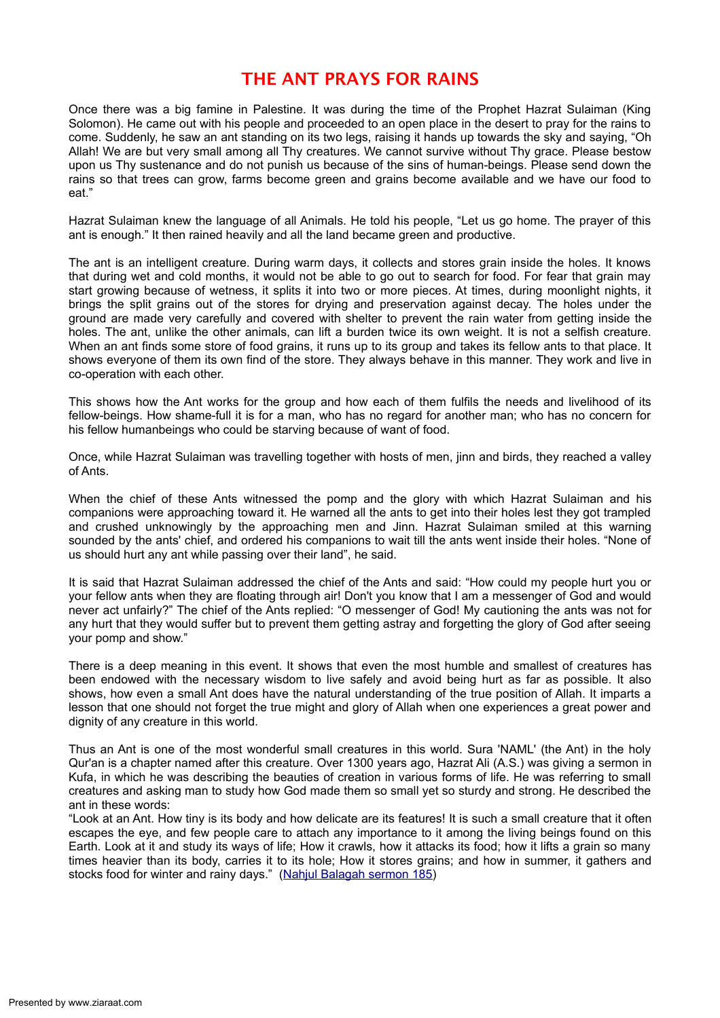# <span id="page-21-0"></span>THE ANT PRAYS FOR RAINS

Once there was a big famine in Palestine. It was during the time of the Prophet Hazrat Sulaiman (King Solomon). He came out with his people and proceeded to an open place in the desert to pray for the rains to come. Suddenly, he saw an ant standing on its two legs, raising it hands up towards the sky and saying, "Oh Allah! We are but very small among all Thy creatures. We cannot survive without Thy grace. Please bestow upon us Thy sustenance and do not punish us because of the sins of human-beings. Please send down the rains so that trees can grow, farms become green and grains become available and we have our food to eat."

Hazrat Sulaiman knew the language of all Animals. He told his people, "Let us go home. The prayer of this ant is enough." It then rained heavily and all the land became green and productive.

The ant is an intelligent creature. During warm days, it collects and stores grain inside the holes. It knows that during wet and cold months, it would not be able to go out to search for food. For fear that grain may start growing because of wetness, it splits it into two or more pieces. At times, during moonlight nights, it brings the split grains out of the stores for drying and preservation against decay. The holes under the ground are made very carefully and covered with shelter to prevent the rain water from getting inside the holes. The ant, unlike the other animals, can lift a burden twice its own weight. It is not a selfish creature. When an ant finds some store of food grains, it runs up to its group and takes its fellow ants to that place. It shows everyone of them its own find of the store. They always behave in this manner. They work and live in co-operation with each other.

This shows how the Ant works for the group and how each of them fulfils the needs and livelihood of its fellow-beings. How shame-full it is for a man, who has no regard for another man; who has no concern for his fellow humanbeings who could be starving because of want of food.

Once, while Hazrat Sulaiman was travelling together with hosts of men, jinn and birds, they reached a valley of Ants.

When the chief of these Ants witnessed the pomp and the glory with which Hazrat Sulaiman and his companions were approaching toward it. He warned all the ants to get into their holes lest they got trampled and crushed unknowingly by the approaching men and Jinn. Hazrat Sulaiman smiled at this warning sounded by the ants' chief, and ordered his companions to wait till the ants went inside their holes. "None of us should hurt any ant while passing over their land", he said.

It is said that Hazrat Sulaiman addressed the chief of the Ants and said: "How could my people hurt you or your fellow ants when they are floating through air! Don't you know that I am a messenger of God and would never act unfairly?" The chief of the Ants replied: "O messenger of God! My cautioning the ants was not for any hurt that they would suffer but to prevent them getting astray and forgetting the glory of God after seeing your pomp and show."

There is a deep meaning in this event. It shows that even the most humble and smallest of creatures has been endowed with the necessary wisdom to live safely and avoid being hurt as far as possible. It also shows, how even a small Ant does have the natural understanding of the true position of Allah. It imparts a lesson that one should not forget the true might and glory of Allah when one experiences a great power and dignity of any creature in this world.

Thus an Ant is one of the most wonderful small creatures in this world. Sura 'NAML' (the Ant) in the holy Qur'an is a chapter named after this creature. Over 1300 years ago, Hazrat Ali (A.S.) was giving a sermon in Kufa, in which he was describing the beauties of creation in various forms of life. He was referring to small creatures and asking man to study how God made them so small yet so sturdy and strong. He described the ant in these words:

"Look at an Ant. How tiny is its body and how delicate are its features! It is such a small creature that it often escapes the eye, and few people care to attach any importance to it among the living beings found on this Earth. Look at it and study its ways of life; How it crawls, how it attacks its food; how it lifts a grain so many times heavier than its body, carries it to its hole; How it stores grains; and how in summer, it gathers and stocks food for winter and rainy days." (Nahjul [Balagah](http://al-islam.org/nahj/185.htm) sermon 185)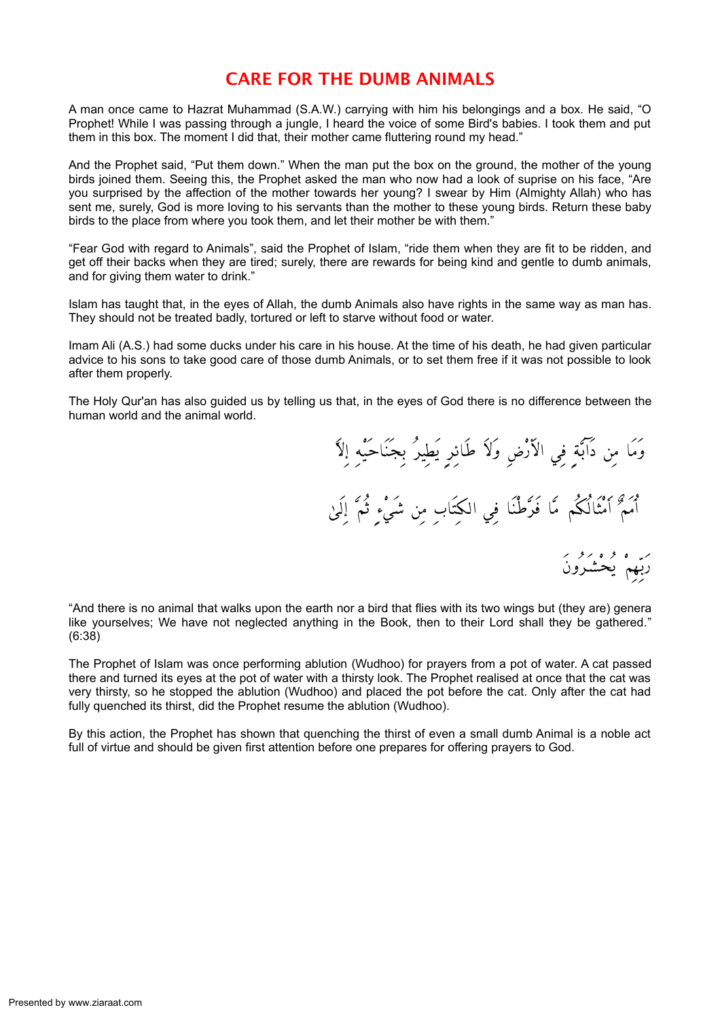## <span id="page-22-0"></span>CARE FOR THE DUMB ANIMALS

A man once came to Hazrat Muhammad (S.A.W.) carrying with him his belongings and a box. He said, "O Prophet! While I was passing through a jungle, I heard the voice of some Bird's babies. I took them and put them in this box. The moment I did that, their mother came fluttering round my head."

And the Prophet said, "Put them down." When the man put the box on the ground, the mother of the young birds joined them. Seeing this, the Prophet asked the man who now had a look of suprise on his face, "Are you surprised by the affection of the mother towards her young? I swear by Him (Almighty Allah) who has sent me, surely, God is more loving to his servants than the mother to these young birds. Return these baby birds to the place from where you took them, and let their mother be with them."

"Fear God with regard to Animals", said the Prophet of Islam, "ride them when they are fit to be ridden, and get off their backs when they are tired; surely, there are rewards for being kind and gentle to dumb animals, and for giving them water to drink."

Islam has taught that, in the eyes of Allah, the dumb Animals also have rights in the same way as man has. They should not be treated badly, tortured or left to starve without food or water.

Imam Ali (A.S.) had some ducks under his care in his house. At the time of his death, he had given particular advice to his sons to take good care of those dumb Animals, or to set them free if it was not possible to look after them properly.

The Holy Qur'an has also guided us by telling us that, in the eyes of God there is no difference between the human world and the animal world.

> وُمَا مِن دَابَةٍ فِي الأَرْضِ وَلاَ طَائِرٍ يَطِيرُ بِجُنَاحَيْهِ إِلاَّ م<br>أممَّ أمثالُكُم مَّا فَرَطْنَا فِي الكِتَابِ مِن شَيْءٍ ثُمَّ إِلَىٰ بر و و وبرو بر<br>ربهم يحشرون

"And there is no animal that walks upon the earth nor a bird that flies with its two wings but (they are) genera like yourselves; We have not neglected anything in the Book, then to their Lord shall they be gathered." (6:38)

The Prophet of Islam was once performing ablution (Wudhoo) for prayers from a pot of water. A cat passed there and turned its eyes at the pot of water with a thirsty look. The Prophet realised at once that the cat was very thirsty, so he stopped the ablution (Wudhoo) and placed the pot before the cat. Only after the cat had fully quenched its thirst, did the Prophet resume the ablution (Wudhoo).

By this action, the Prophet has shown that quenching the thirst of even a small dumb Animal is a noble act full of virtue and should be given first attention before one prepares for offering prayers to God.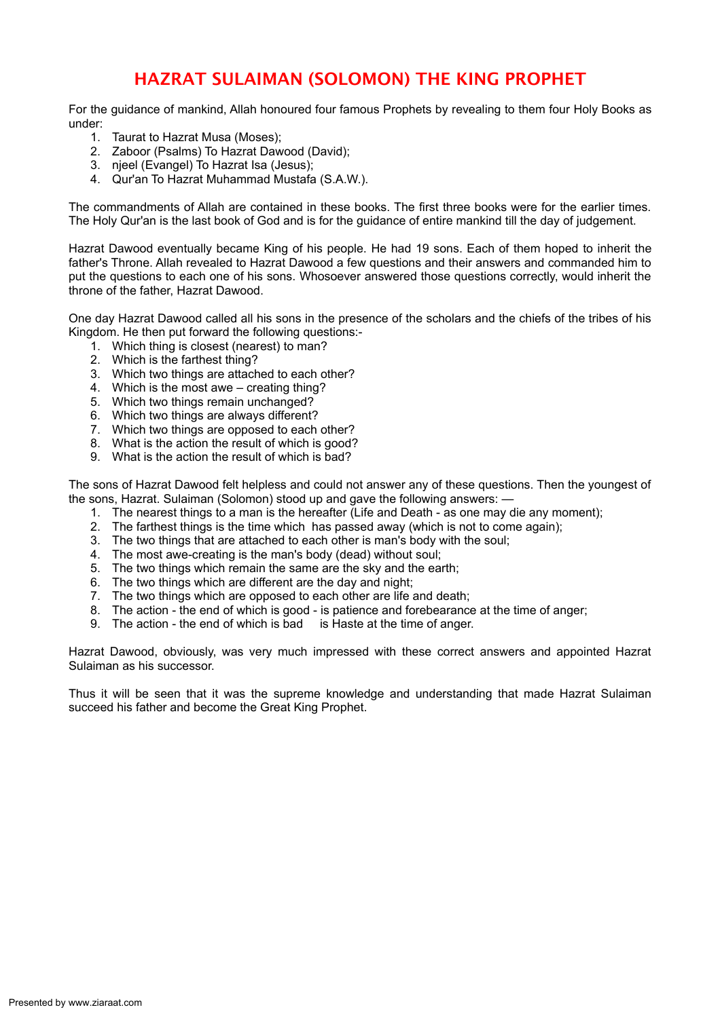# <span id="page-23-0"></span>HAZRAT SULAIMAN (SOLOMON) THE KING PROPHET

For the guidance of mankind, Allah honoured four famous Prophets by revealing to them four Holy Books as under:

- 1. Taurat to Hazrat Musa (Moses);
- 2. Zaboor (Psalms) To Hazrat Dawood (David);
- 3. njeel (Evangel) To Hazrat Isa (Jesus);
- 4. Qur'an To Hazrat Muhammad Mustafa (S.A.W.).

The commandments of Allah are contained in these books. The first three books were for the earlier times. The Holy Qur'an is the last book of God and is for the guidance of entire mankind till the day of judgement.

Hazrat Dawood eventually became King of his people. He had 19 sons. Each of them hoped to inherit the father's Throne. Allah revealed to Hazrat Dawood a few questions and their answers and commanded him to put the questions to each one of his sons. Whosoever answered those questions correctly, would inherit the throne of the father, Hazrat Dawood.

One day Hazrat Dawood called all his sons in the presence of the scholars and the chiefs of the tribes of his Kingdom. He then put forward the following questions:-

- 1. Which thing is closest (nearest) to man?
- 2. Which is the farthest thing?
- 3. Which two things are attached to each other?
- 4. Which is the most awe creating thing?
- 5. Which two things remain unchanged?
- 6. Which two things are always different?
- 7. Which two things are opposed to each other?
- 8. What is the action the result of which is good?
- 9. What is the action the result of which is bad?

The sons of Hazrat Dawood felt helpless and could not answer any of these questions. Then the youngest of the sons, Hazrat. Sulaiman (Solomon) stood up and gave the following answers: —

- 1. The nearest things to a man is the hereafter (Life and Death as one may die any moment);
- 2. The farthest things is the time which has passed away (which is not to come again);
- 3. The two things that are attached to each other is man's body with the soul;
- 4. The most awe-creating is the man's body (dead) without soul;
- 5. The two things which remain the same are the sky and the earth;
- 6. The two things which are different are the day and night;
- 7. The two things which are opposed to each other are life and death;
- 8. The action the end of which is good is patience and forebearance at the time of anger;
- 9. The action the end of which is bad is Haste at the time of anger.

Hazrat Dawood, obviously, was very much impressed with these correct answers and appointed Hazrat Sulaiman as his successor.

Thus it will be seen that it was the supreme knowledge and understanding that made Hazrat Sulaiman succeed his father and become the Great King Prophet.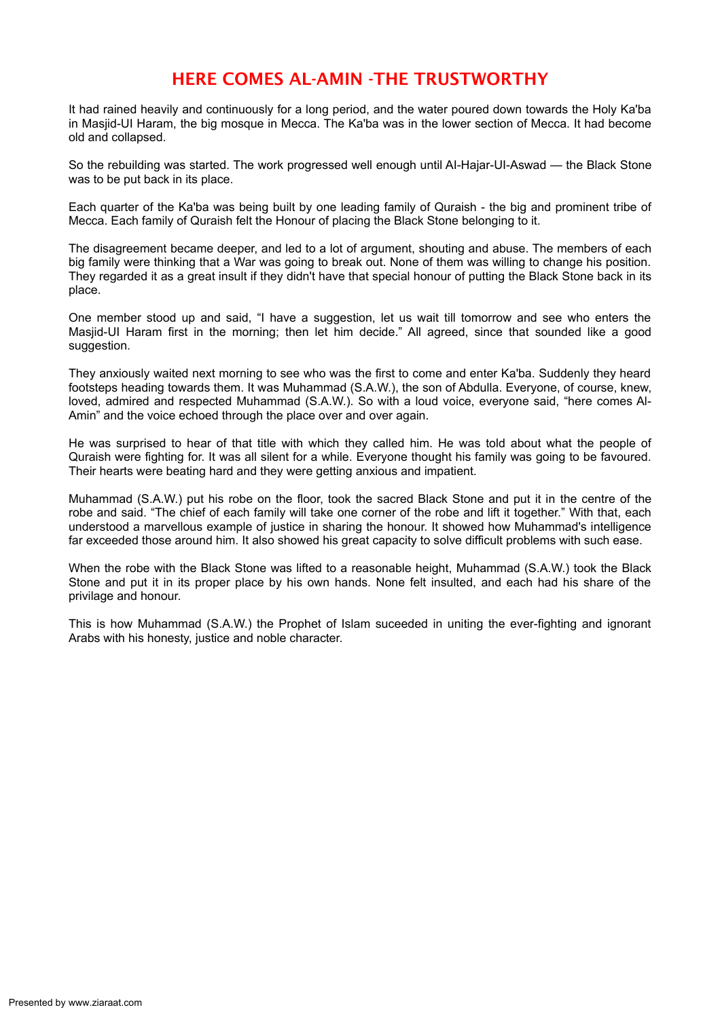# <span id="page-24-0"></span>HERE COMES AL-AMIN -THE TRUSTWORTHY

It had rained heavily and continuously for a long period, and the water poured down towards the Holy Ka'ba in Masjid-UI Haram, the big mosque in Mecca. The Ka'ba was in the lower section of Mecca. It had become old and collapsed.

So the rebuilding was started. The work progressed well enough until AI-Hajar-UI-Aswad — the Black Stone was to be put back in its place.

Each quarter of the Ka'ba was being built by one leading family of Quraish - the big and prominent tribe of Mecca. Each family of Quraish felt the Honour of placing the Black Stone belonging to it.

The disagreement became deeper, and led to a lot of argument, shouting and abuse. The members of each big family were thinking that a War was going to break out. None of them was willing to change his position. They regarded it as a great insult if they didn't have that special honour of putting the Black Stone back in its place.

One member stood up and said, "I have a suggestion, let us wait till tomorrow and see who enters the Masjid-UI Haram first in the morning; then let him decide." All agreed, since that sounded like a good suggestion.

They anxiously waited next morning to see who was the first to come and enter Ka'ba. Suddenly they heard footsteps heading towards them. It was Muhammad (S.A.W.), the son of Abdulla. Everyone, of course, knew, loved, admired and respected Muhammad (S.A.W.). So with a loud voice, everyone said, "here comes Al-Amin" and the voice echoed through the place over and over again.

He was surprised to hear of that title with which they called him. He was told about what the people of Quraish were fighting for. It was all silent for a while. Everyone thought his family was going to be favoured. Their hearts were beating hard and they were getting anxious and impatient.

Muhammad (S.A.W.) put his robe on the floor, took the sacred Black Stone and put it in the centre of the robe and said. "The chief of each family will take one corner of the robe and lift it together." With that, each understood a marvellous example of justice in sharing the honour. It showed how Muhammad's intelligence far exceeded those around him. It also showed his great capacity to solve difficult problems with such ease.

When the robe with the Black Stone was lifted to a reasonable height, Muhammad (S.A.W.) took the Black Stone and put it in its proper place by his own hands. None felt insulted, and each had his share of the privilage and honour.

This is how Muhammad (S.A.W.) the Prophet of Islam suceeded in uniting the ever-fighting and ignorant Arabs with his honesty, justice and noble character.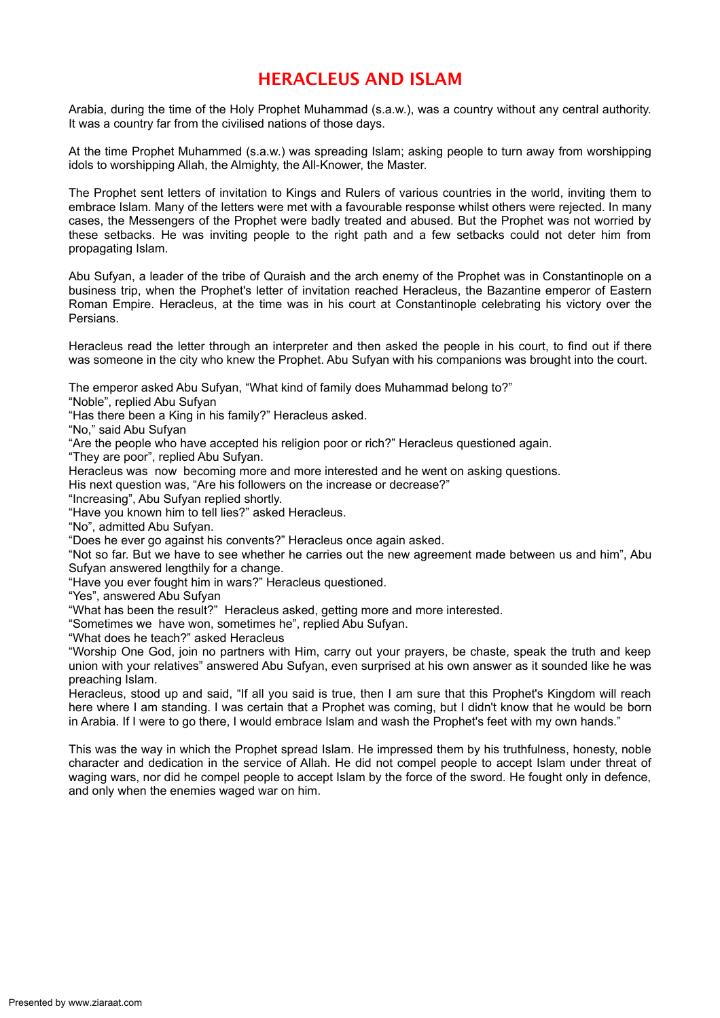# <span id="page-25-0"></span>HERACLEUS AND ISLAM

Arabia, during the time of the Holy Prophet Muhammad (s.a.w.), was a country without any central authority. It was a country far from the civilised nations of those days.

At the time Prophet Muhammed (s.a.w.) was spreading Islam; asking people to turn away from worshipping idols to worshipping Allah, the Almighty, the All-Knower, the Master.

The Prophet sent letters of invitation to Kings and Rulers of various countries in the world, inviting them to embrace Islam. Many of the letters were met with a favourable response whilst others were rejected. In many cases, the Messengers of the Prophet were badly treated and abused. But the Prophet was not worried by these setbacks. He was inviting people to the right path and a few setbacks could not deter him from propagating Islam.

Abu Sufyan, a leader of the tribe of Quraish and the arch enemy of the Prophet was in Constantinople on a business trip, when the Prophet's letter of invitation reached Heracleus, the Bazantine emperor of Eastern Roman Empire. Heracleus, at the time was in his court at Constantinople celebrating his victory over the Persians.

Heracleus read the letter through an interpreter and then asked the people in his court, to find out if there was someone in the city who knew the Prophet. Abu Sufyan with his companions was brought into the court.

The emperor asked Abu Sufyan, "What kind of family does Muhammad belong to?"

"Noble", replied Abu Sufyan

"Has there been a King in his family?" Heracleus asked.

"No," said Abu Sufyan

"Are the people who have accepted his religion poor or rich?" Heracleus questioned again.

"They are poor", replied Abu Sufyan.

Heracleus was now becoming more and more interested and he went on asking questions.

His next question was, "Are his followers on the increase or decrease?"

"Increasing", Abu Sufyan replied shortly.

"Have you known him to tell lies?" asked Heracleus.

"No", admitted Abu Sufyan.

"Does he ever go against his convents?" Heracleus once again asked.

"Not so far. But we have to see whether he carries out the new agreement made between us and him", Abu Sufyan answered lengthily for a change.

"Have you ever fought him in wars?" Heracleus questioned.

"Yes", answered Abu Sufyan

"What has been the result?" Heracleus asked, getting more and more interested.

"Sometimes we have won, sometimes he", replied Abu Sufyan.

"What does he teach?" asked Heracleus

"Worship One God, join no partners with Him, carry out your prayers, be chaste, speak the truth and keep union with your relatives" answered Abu Sufyan, even surprised at his own answer as it sounded like he was preaching Islam.

Heracleus, stood up and said, "If all you said is true, then I am sure that this Prophet's Kingdom will reach here where I am standing. I was certain that a Prophet was coming, but I didn't know that he would be born in Arabia. If I were to go there, I would embrace Islam and wash the Prophet's feet with my own hands."

This was the way in which the Prophet spread Islam. He impressed them by his truthfulness, honesty, noble character and dedication in the service of Allah. He did not compel people to accept Islam under threat of waging wars, nor did he compel people to accept Islam by the force of the sword. He fought only in defence, and only when the enemies waged war on him.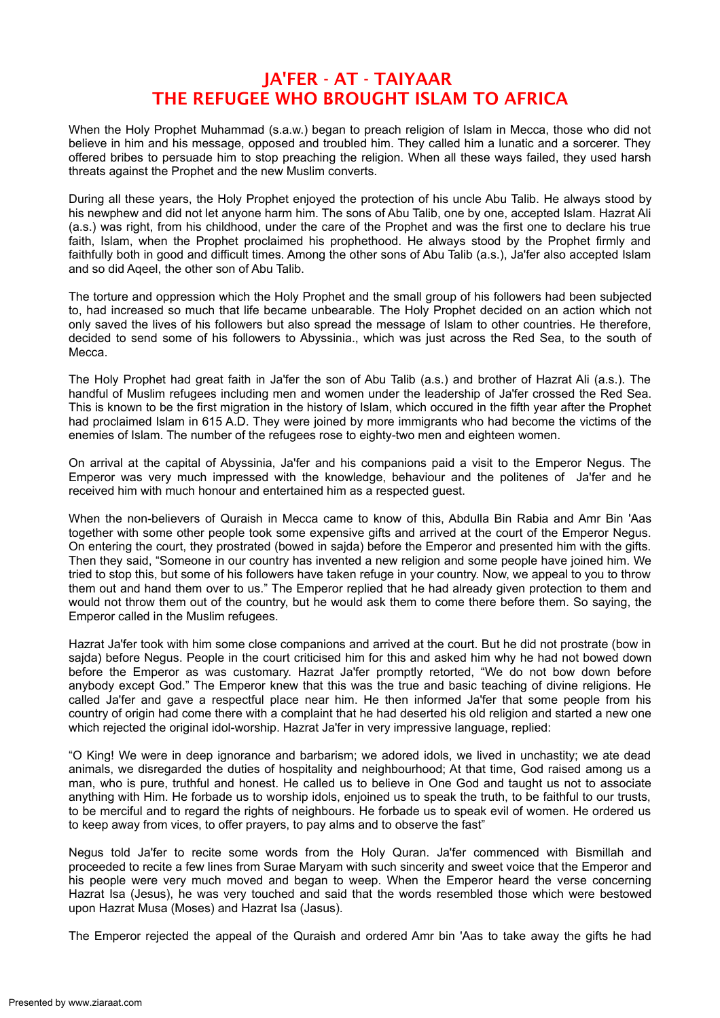# <span id="page-26-0"></span>JA'FER - AT - TAIYAAR THE REFUGEE WHO BROUGHT ISLAM TO AFRICA

When the Holy Prophet Muhammad (s.a.w.) began to preach religion of Islam in Mecca, those who did not believe in him and his message, opposed and troubled him. They called him a lunatic and a sorcerer. They offered bribes to persuade him to stop preaching the religion. When all these ways failed, they used harsh threats against the Prophet and the new Muslim converts.

During all these years, the Holy Prophet enjoyed the protection of his uncle Abu Talib. He always stood by his newphew and did not let anyone harm him. The sons of Abu Talib, one by one, accepted Islam. Hazrat Ali (a.s.) was right, from his childhood, under the care of the Prophet and was the first one to declare his true faith, Islam, when the Prophet proclaimed his prophethood. He always stood by the Prophet firmly and faithfully both in good and difficult times. Among the other sons of Abu Talib (a.s.), Ja'fer also accepted Islam and so did Aqeel, the other son of Abu Talib.

The torture and oppression which the Holy Prophet and the small group of his followers had been subjected to, had increased so much that life became unbearable. The Holy Prophet decided on an action which not only saved the lives of his followers but also spread the message of Islam to other countries. He therefore, decided to send some of his followers to Abyssinia., which was just across the Red Sea, to the south of Mecca.

The Holy Prophet had great faith in Ja'fer the son of Abu Talib (a.s.) and brother of Hazrat Ali (a.s.). The handful of Muslim refugees including men and women under the leadership of Ja'fer crossed the Red Sea. This is known to be the first migration in the history of Islam, which occured in the fifth year after the Prophet had proclaimed Islam in 615 A.D. They were joined by more immigrants who had become the victims of the enemies of Islam. The number of the refugees rose to eighty-two men and eighteen women.

On arrival at the capital of Abyssinia, Ja'fer and his companions paid a visit to the Emperor Negus. The Emperor was very much impressed with the knowledge, behaviour and the politenes of Ja'fer and he received him with much honour and entertained him as a respected guest.

When the non-believers of Quraish in Mecca came to know of this, Abdulla Bin Rabia and Amr Bin 'Aas together with some other people took some expensive gifts and arrived at the court of the Emperor Negus. On entering the court, they prostrated (bowed in sajda) before the Emperor and presented him with the gifts. Then they said, "Someone in our country has invented a new religion and some people have joined him. We tried to stop this, but some of his followers have taken refuge in your country. Now, we appeal to you to throw them out and hand them over to us." The Emperor replied that he had already given protection to them and would not throw them out of the country, but he would ask them to come there before them. So saying, the Emperor called in the Muslim refugees.

Hazrat Ja'fer took with him some close companions and arrived at the court. But he did not prostrate (bow in sajda) before Negus. People in the court criticised him for this and asked him why he had not bowed down before the Emperor as was customary. Hazrat Ja'fer promptly retorted, "We do not bow down before anybody except God." The Emperor knew that this was the true and basic teaching of divine religions. He called Ja'fer and gave a respectful place near him. He then informed Ja'fer that some people from his country of origin had come there with a complaint that he had deserted his old religion and started a new one which rejected the original idol-worship. Hazrat Ja'fer in very impressive language, replied:

"O King! We were in deep ignorance and barbarism; we adored idols, we lived in unchastity; we ate dead animals, we disregarded the duties of hospitality and neighbourhood; At that time, God raised among us a man, who is pure, truthful and honest. He called us to believe in One God and taught us not to associate anything with Him. He forbade us to worship idols, enjoined us to speak the truth, to be faithful to our trusts, to be merciful and to regard the rights of neighbours. He forbade us to speak evil of women. He ordered us to keep away from vices, to offer prayers, to pay alms and to observe the fast"

Negus told Ja'fer to recite some words from the Holy Quran. Ja'fer commenced with Bismillah and proceeded to recite a few lines from Surae Maryam with such sincerity and sweet voice that the Emperor and his people were very much moved and began to weep. When the Emperor heard the verse concerning Hazrat Isa (Jesus), he was very touched and said that the words resembled those which were bestowed upon Hazrat Musa (Moses) and Hazrat Isa (Jasus).

The Emperor rejected the appeal of the Quraish and ordered Amr bin 'Aas to take away the gifts he had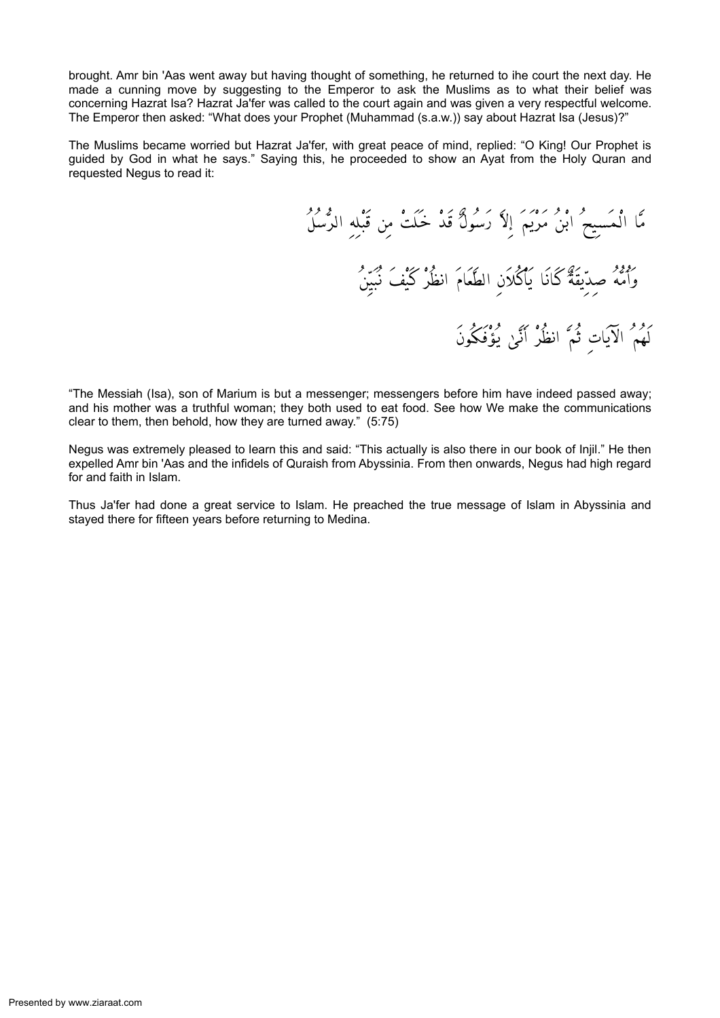brought. Amr bin 'Aas went away but having thought of something, he returned to ihe court the next day. He made a cunning move by suggesting to the Emperor to ask the Muslims as to what their belief was concerning Hazrat Isa? Hazrat Ja'fer was called to the court again and was given a very respectful welcome. The Emperor then asked: "What does your Prophet (Muhammad (s.a.w.)) say about Hazrat Isa (Jesus)?"

The Muslims became worried but Hazrat Ja'fer, with great peace of mind, replied: "O King! Our Prophet is guided by God in what he says." Saying this, he proceeded to show an Ayat from the Holy Quran and requested Negus to read it:

âÄâsâäoÂB ãÐãÃåRáº 틮 åYáÃág åkáº çÁÒâsán áäÙãH áÈáÖåoáÆ âÌåQB âe×ãtáÇåÂB CáäÆ âÌãä×áRâÊ á¸å×á¾ åoâ«ÊB áÅCá¯áä§ÂB ãÉáÚâ¾åGáÖ CáÊCá¾ çUá»Öãäkã{ âÐâäÆâFáÑ áÉÒâ¿á¶åKâÖ ÔáäÊáF åoâ«ÊB áäÈâ[ ãVCáÖÝB âÈâÏáÂ

"The Messiah (Isa), son of Marium is but a messenger; messengers before him have indeed passed away; and his mother was a truthful woman; they both used to eat food. See how We make the communications clear to them, then behold, how they are turned away." (5:75)

Negus was extremely pleased to learn this and said: "This actually is also there in our book of Injil." He then expelled Amr bin 'Aas and the infidels of Quraish from Abyssinia. From then onwards, Negus had high regard for and faith in Islam.

Thus Ja'fer had done a great service to Islam. He preached the true message of Islam in Abyssinia and stayed there for fifteen years before returning to Medina.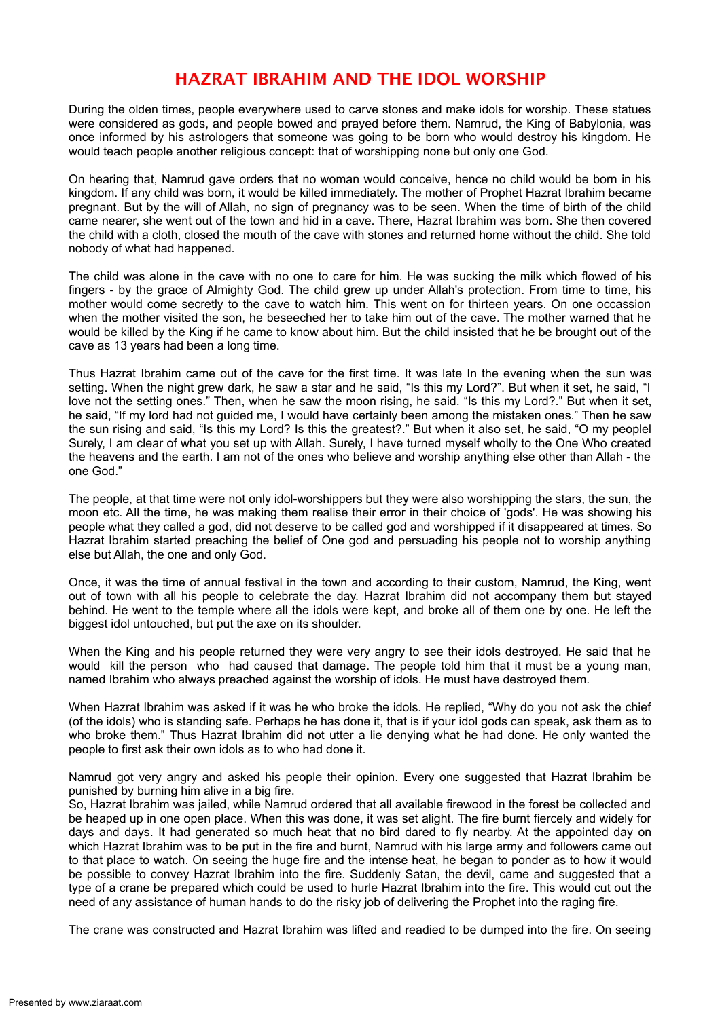# <span id="page-28-0"></span>HAZRAT IBRAHIM AND THE IDOL WORSHIP

During the olden times, people everywhere used to carve stones and make idols for worship. These statues were considered as gods, and people bowed and prayed before them. Namrud, the King of Babylonia, was once informed by his astrologers that someone was going to be born who would destroy his kingdom. He would teach people another religious concept: that of worshipping none but only one God.

On hearing that, Namrud gave orders that no woman would conceive, hence no child would be born in his kingdom. If any child was born, it would be killed immediately. The mother of Prophet Hazrat Ibrahim became pregnant. But by the will of Allah, no sign of pregnancy was to be seen. When the time of birth of the child came nearer, she went out of the town and hid in a cave. There, Hazrat Ibrahim was born. She then covered the child with a cloth, closed the mouth of the cave with stones and returned home without the child. She told nobody of what had happened.

The child was alone in the cave with no one to care for him. He was sucking the milk which flowed of his fingers - by the grace of Almighty God. The child grew up under Allah's protection. From time to time, his mother would come secretly to the cave to watch him. This went on for thirteen years. On one occassion when the mother visited the son, he beseeched her to take him out of the cave. The mother warned that he would be killed by the King if he came to know about him. But the child insisted that he be brought out of the cave as 13 years had been a long time.

Thus Hazrat Ibrahim came out of the cave for the first time. It was late In the evening when the sun was setting. When the night grew dark, he saw a star and he said, "Is this my Lord?". But when it set, he said, "I love not the setting ones." Then, when he saw the moon rising, he said. "Is this my Lord?." But when it set, he said, "If my lord had not guided me, I would have certainly been among the mistaken ones." Then he saw the sun rising and said, "Is this my Lord? Is this the greatest?." But when it also set, he said, "O my peoplel Surely, I am clear of what you set up with Allah. Surely, I have turned myself wholly to the One Who created the heavens and the earth. I am not of the ones who believe and worship anything else other than Allah - the one God."

The people, at that time were not only idol-worshippers but they were also worshipping the stars, the sun, the moon etc. All the time, he was making them realise their error in their choice of 'gods'. He was showing his people what they called a god, did not deserve to be called god and worshipped if it disappeared at times. So Hazrat Ibrahim started preaching the belief of One god and persuading his people not to worship anything else but Allah, the one and only God.

Once, it was the time of annual festival in the town and according to their custom, Namrud, the King, went out of town with all his people to celebrate the day. Hazrat Ibrahim did not accompany them but stayed behind. He went to the temple where all the idols were kept, and broke all of them one by one. He left the biggest idol untouched, but put the axe on its shoulder.

When the King and his people returned they were very angry to see their idols destroyed. He said that he would kill the person who had caused that damage. The people told him that it must be a young man, named Ibrahim who always preached against the worship of idols. He must have destroyed them.

When Hazrat Ibrahim was asked if it was he who broke the idols. He replied, "Why do you not ask the chief (of the idols) who is standing safe. Perhaps he has done it, that is if your idol gods can speak, ask them as to who broke them." Thus Hazrat Ibrahim did not utter a lie denying what he had done. He only wanted the people to first ask their own idols as to who had done it.

Namrud got very angry and asked his people their opinion. Every one suggested that Hazrat Ibrahim be punished by burning him alive in a big fire.

So, Hazrat Ibrahim was jailed, while Namrud ordered that all available firewood in the forest be collected and be heaped up in one open place. When this was done, it was set alight. The fire burnt fiercely and widely for days and days. It had generated so much heat that no bird dared to fly nearby. At the appointed day on which Hazrat Ibrahim was to be put in the fire and burnt, Namrud with his large army and followers came out to that place to watch. On seeing the huge fire and the intense heat, he began to ponder as to how it would be possible to convey Hazrat Ibrahim into the fire. Suddenly Satan, the devil, came and suggested that a type of a crane be prepared which could be used to hurle Hazrat Ibrahim into the fire. This would cut out the need of any assistance of human hands to do the risky job of delivering the Prophet into the raging fire.

The crane was constructed and Hazrat Ibrahim was lifted and readied to be dumped into the fire. On seeing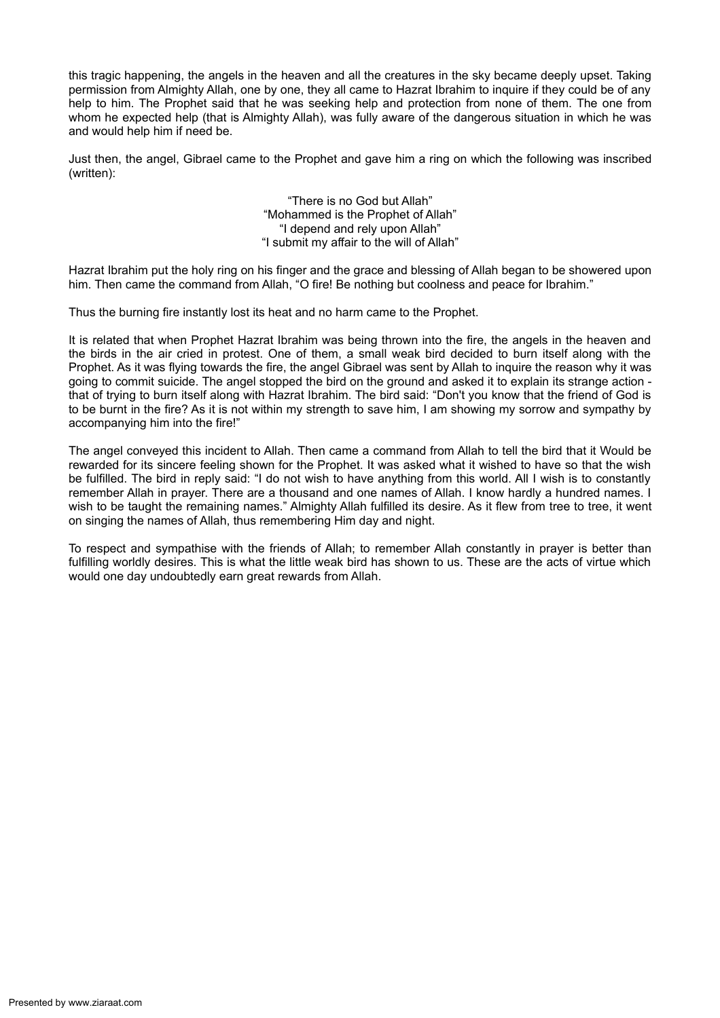this tragic happening, the angels in the heaven and all the creatures in the sky became deeply upset. Taking permission from Almighty Allah, one by one, they all came to Hazrat Ibrahim to inquire if they could be of any help to him. The Prophet said that he was seeking help and protection from none of them. The one from whom he expected help (that is Almighty Allah), was fully aware of the dangerous situation in which he was and would help him if need be.

Just then, the angel, Gibrael came to the Prophet and gave him a ring on which the following was inscribed (written):

> "There is no God but Allah" "Mohammed is the Prophet of Allah" "I depend and rely upon Allah" "I submit my affair to the will of Allah"

Hazrat Ibrahim put the holy ring on his finger and the grace and blessing of Allah began to be showered upon him. Then came the command from Allah, "O fire! Be nothing but coolness and peace for Ibrahim."

Thus the burning fire instantly lost its heat and no harm came to the Prophet.

It is related that when Prophet Hazrat Ibrahim was being thrown into the fire, the angels in the heaven and the birds in the air cried in protest. One of them, a small weak bird decided to burn itself along with the Prophet. As it was flying towards the fire, the angel Gibrael was sent by Allah to inquire the reason why it was going to commit suicide. The angel stopped the bird on the ground and asked it to explain its strange action that of trying to burn itself along with Hazrat Ibrahim. The bird said: "Don't you know that the friend of God is to be burnt in the fire? As it is not within my strength to save him, I am showing my sorrow and sympathy by accompanying him into the fire!"

The angel conveyed this incident to Allah. Then came a command from Allah to tell the bird that it Would be rewarded for its sincere feeling shown for the Prophet. It was asked what it wished to have so that the wish be fulfilled. The bird in reply said: "I do not wish to have anything from this world. All I wish is to constantly remember Allah in prayer. There are a thousand and one names of Allah. I know hardly a hundred names. I wish to be taught the remaining names." Almighty Allah fulfilled its desire. As it flew from tree to tree, it went on singing the names of Allah, thus remembering Him day and night.

To respect and sympathise with the friends of Allah; to remember Allah constantly in prayer is better than fulfilling worldly desires. This is what the little weak bird has shown to us. These are the acts of virtue which would one day undoubtedly earn great rewards from Allah.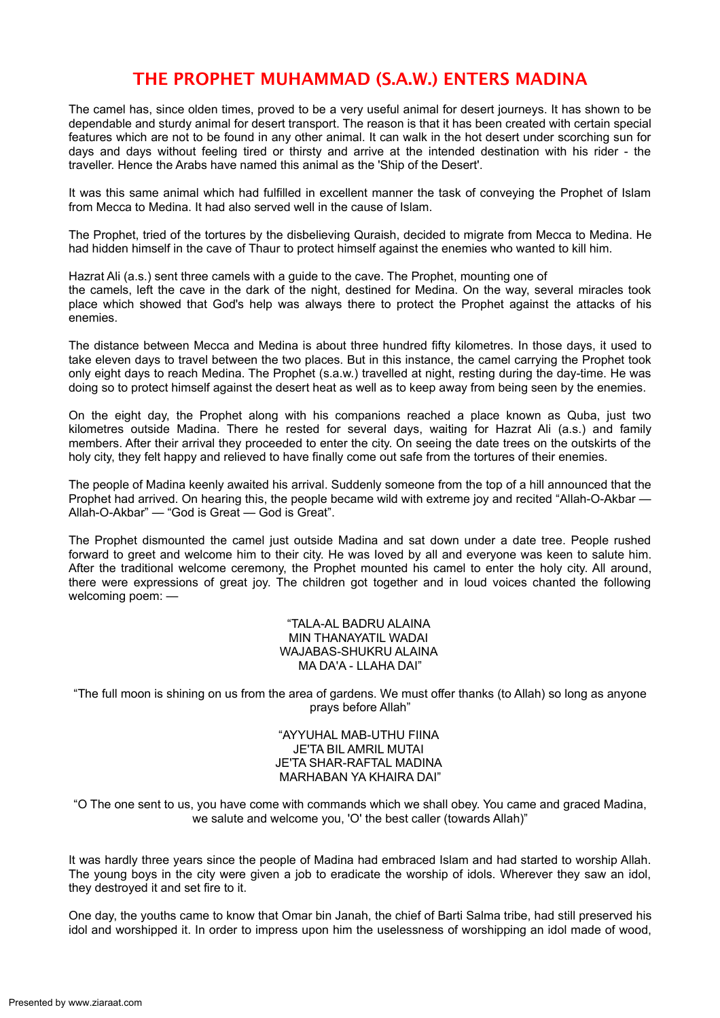## <span id="page-30-0"></span>THE PROPHET MUHAMMAD (S.A.W.) ENTERS MADINA

The camel has, since olden times, proved to be a very useful animal for desert journeys. It has shown to be dependable and sturdy animal for desert transport. The reason is that it has been created with certain special features which are not to be found in any other animal. It can walk in the hot desert under scorching sun for days and days without feeling tired or thirsty and arrive at the intended destination with his rider - the traveller. Hence the Arabs have named this animal as the 'Ship of the Desert'.

It was this same animal which had fulfilled in excellent manner the task of conveying the Prophet of Islam from Mecca to Medina. It had also served well in the cause of Islam.

The Prophet, tried of the tortures by the disbelieving Quraish, decided to migrate from Mecca to Medina. He had hidden himself in the cave of Thaur to protect himself against the enemies who wanted to kill him.

Hazrat Ali (a.s.) sent three camels with a guide to the cave. The Prophet, mounting one of the camels, left the cave in the dark of the night, destined for Medina. On the way, several miracles took place which showed that God's help was always there to protect the Prophet against the attacks of his enemies.

The distance between Mecca and Medina is about three hundred fifty kilometres. In those days, it used to take eleven days to travel between the two places. But in this instance, the camel carrying the Prophet took only eight days to reach Medina. The Prophet (s.a.w.) travelled at night, resting during the day-time. He was doing so to protect himself against the desert heat as well as to keep away from being seen by the enemies.

On the eight day, the Prophet along with his companions reached a place known as Quba, just two kilometres outside Madina. There he rested for several days, waiting for Hazrat Ali (a.s.) and family members. After their arrival they proceeded to enter the city. On seeing the date trees on the outskirts of the holy city, they felt happy and relieved to have finally come out safe from the tortures of their enemies.

The people of Madina keenly awaited his arrival. Suddenly someone from the top of a hill announced that the Prophet had arrived. On hearing this, the people became wild with extreme joy and recited "Allah-O-Akbar -Allah-O-Akbar" — "God is Great — God is Great".

The Prophet dismounted the camel just outside Madina and sat down under a date tree. People rushed forward to greet and welcome him to their city. He was Ioved by all and everyone was keen to salute him. After the traditional welcome ceremony, the Prophet mounted his camel to enter the holy city. All around, there were expressions of great joy. The children got together and in loud voices chanted the following welcoming poem: —

> "TALA-AL BADRU ALAINA MIN THANAYATIL WADAI WAJABAS-SHUKRU ALAINA MA DA'A - LLAHA DAI"

"The full moon is shining on us from the area of gardens. We must offer thanks (to Allah) so long as anyone prays before Allah"

> "AYYUHAL MAB-UTHU FIINA JE'TA BIL AMRIL MUTAI JE'TA SHAR-RAFTAL MADINA MARHABAN YA KHAIRA DAI"

"O The one sent to us, you have come with commands which we shall obey. You came and graced Madina, we salute and welcome you, 'O' the best caller (towards Allah)"

It was hardly three years since the people of Madina had embraced Islam and had started to worship Allah. The young boys in the city were given a job to eradicate the worship of idols. Wherever they saw an idol, they destroyed it and set fire to it.

One day, the youths came to know that Omar bin Janah, the chief of Barti Salma tribe, had still preserved his idol and worshipped it. In order to impress upon him the uselessness of worshipping an idol made of wood,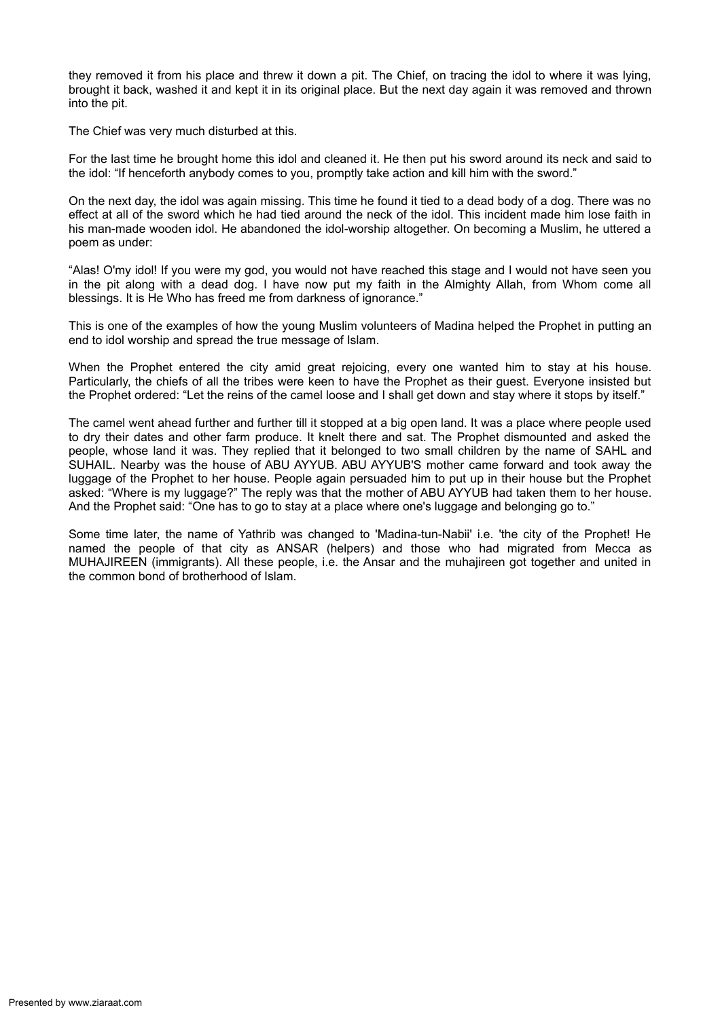they removed it from his place and threw it down a pit. The Chief, on tracing the idol to where it was lying, brought it back, washed it and kept it in its original place. But the next day again it was removed and thrown into the pit.

The Chief was very much disturbed at this.

For the last time he brought home this idol and cleaned it. He then put his sword around its neck and said to the idol: "If henceforth anybody comes to you, promptly take action and kill him with the sword."

On the next day, the idol was again missing. This time he found it tied to a dead body of a dog. There was no effect at all of the sword which he had tied around the neck of the idol. This incident made him lose faith in his man-made wooden idol. He abandoned the idol-worship altogether. On becoming a Muslim, he uttered a poem as under:

"Alas! O'my idol! If you were my god, you would not have reached this stage and I would not have seen you in the pit along with a dead dog. I have now put my faith in the Almighty Allah, from Whom come all blessings. It is He Who has freed me from darkness of ignorance."

This is one of the examples of how the young Muslim volunteers of Madina helped the Prophet in putting an end to idol worship and spread the true message of Islam.

When the Prophet entered the city amid great rejoicing, every one wanted him to stay at his house. Particularly, the chiefs of all the tribes were keen to have the Prophet as their guest. Everyone insisted but the Prophet ordered: "Let the reins of the camel loose and I shall get down and stay where it stops by itself."

The camel went ahead further and further till it stopped at a big open land. It was a place where people used to dry their dates and other farm produce. It knelt there and sat. The Prophet dismounted and asked the people, whose land it was. They replied that it belonged to two small children by the name of SAHL and SUHAIL. Nearby was the house of ABU AYYUB. ABU AYYUB'S mother came forward and took away the luggage of the Prophet to her house. People again persuaded him to put up in their house but the Prophet asked: "Where is my luggage?" The reply was that the mother of ABU AYYUB had taken them to her house. And the Prophet said: "One has to go to stay at a place where one's luggage and belonging go to."

Some time later, the name of Yathrib was changed to 'Madina-tun-Nabii' i.e. 'the city of the Prophet! He named the people of that city as ANSAR (helpers) and those who had migrated from Mecca as MUHAJIREEN (immigrants). All these people, i.e. the Ansar and the muhajireen got together and united in the common bond of brotherhood of Islam.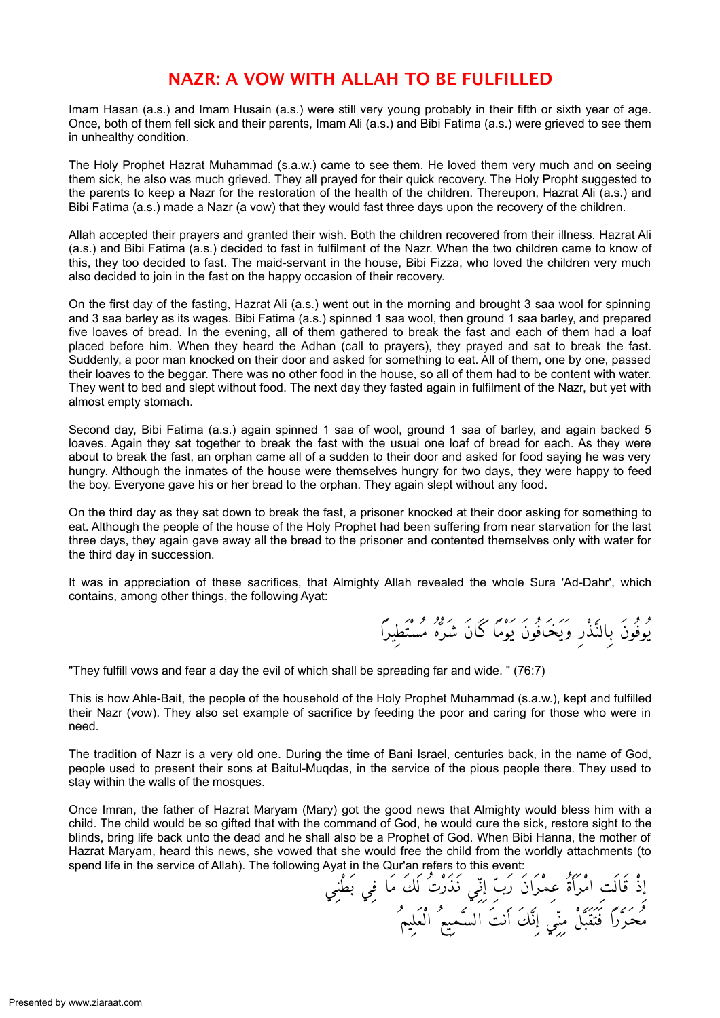## <span id="page-32-0"></span>NAZR: A VOW WITH ALLAH TO BE FULFILLED

Imam Hasan (a.s.) and Imam Husain (a.s.) were still very young probably in their fifth or sixth year of age. Once, both of them fell sick and their parents, Imam Ali (a.s.) and Bibi Fatima (a.s.) were grieved to see them in unhealthy condition.

The Holy Prophet Hazrat Muhammad (s.a.w.) came to see them. He loved them very much and on seeing them sick, he also was much grieved. They all prayed for their quick recovery. The Holy Propht suggested to the parents to keep a Nazr for the restoration of the health of the children. Thereupon, Hazrat Ali (a.s.) and Bibi Fatima (a.s.) made a Nazr (a vow) that they would fast three days upon the recovery of the children.

Allah accepted their prayers and granted their wish. Both the children recovered from their illness. Hazrat Ali (a.s.) and Bibi Fatima (a.s.) decided to fast in fulfilment of the Nazr. When the two children came to know of this, they too decided to fast. The maid-servant in the house, Bibi Fizza, who loved the children very much also decided to join in the fast on the happy occasion of their recovery.

On the first day of the fasting, Hazrat Ali (a.s.) went out in the morning and brought 3 saa wool for spinning and 3 saa barley as its wages. Bibi Fatima (a.s.) spinned 1 saa wool, then ground 1 saa barley, and prepared five loaves of bread. In the evening, all of them gathered to break the fast and each of them had a loaf placed before him. When they heard the Adhan (call to prayers), they prayed and sat to break the fast. Suddenly, a poor man knocked on their door and asked for something to eat. All of them, one by one, passed their loaves to the beggar. There was no other food in the house, so all of them had to be content with water. They went to bed and slept without food. The next day they fasted again in fulfilment of the Nazr, but yet with almost empty stomach.

Second day, Bibi Fatima (a.s.) again spinned 1 saa of wool, ground 1 saa of barley, and again backed 5 loaves. Again they sat together to break the fast with the usuai one loaf of bread for each. As they were about to break the fast, an orphan came all of a sudden to their door and asked for food saying he was very hungry. Although the inmates of the house were themselves hungry for two days, they were happy to feed the boy. Everyone gave his or her bread to the orphan. They again slept without any food.

On the third day as they sat down to break the fast, a prisoner knocked at their door asking for something to eat. Although the people of the house of the Holy Prophet had been suffering from near starvation for the last three days, they again gave away all the bread to the prisoner and contented themselves only with water for the third day in succession.

It was in appreciation of these sacrifices, that Almighty Allah revealed the whole Sura 'Ad-Dahr', which contains, among other things, the following Ayat:

و و من النَّذْرِ وَيُحَافُونَ يَوْمًا كَانَ شَرَّهُ مُسْتَطِيرًا

"They fulfill vows and fear a day the evil of which shall be spreading far and wide. " (76:7)

This is how Ahle-Bait, the people of the household of the Holy Prophet Muhammad (s.a.w.), kept and fulfilled their Nazr (vow). They also set example of sacrifice by feeding the poor and caring for those who were in need.

The tradition of Nazr is a very old one. During the time of Bani Israel, centuries back, in the name of God, people used to present their sons at Baitul-Muqdas, in the service of the pious people there. They used to stay within the walls of the mosques.

Once Imran, the father of Hazrat Maryam (Mary) got the good news that Almighty would bless him with a child. The child would be so gifted that with the command of God, he would cure the sick, restore sight to the blinds, bring life back unto the dead and he shall also be a Prophet of God. When Bibi Hanna, the mother of Hazrat Maryam, heard this news, she vowed that she would free the child from the worldly attachments (to spend life in the service of Allah). The following Ayat in the Qur'an refers to this event:

ØãËå§áQ Øã¶ CáÆ áÀáÂ âVånámáÊ ØãäÊãH ãäPán áÉBáoåÇã® âTáFáoåÆB ãYáÂCáº ålãH âÈ×ãÃá¯åÂB â°×ãÇáätÂB áYÊáF áÀáäÊãH ØãäËãÆ åÄáäRá»áXá¶ BænáäoádâÆ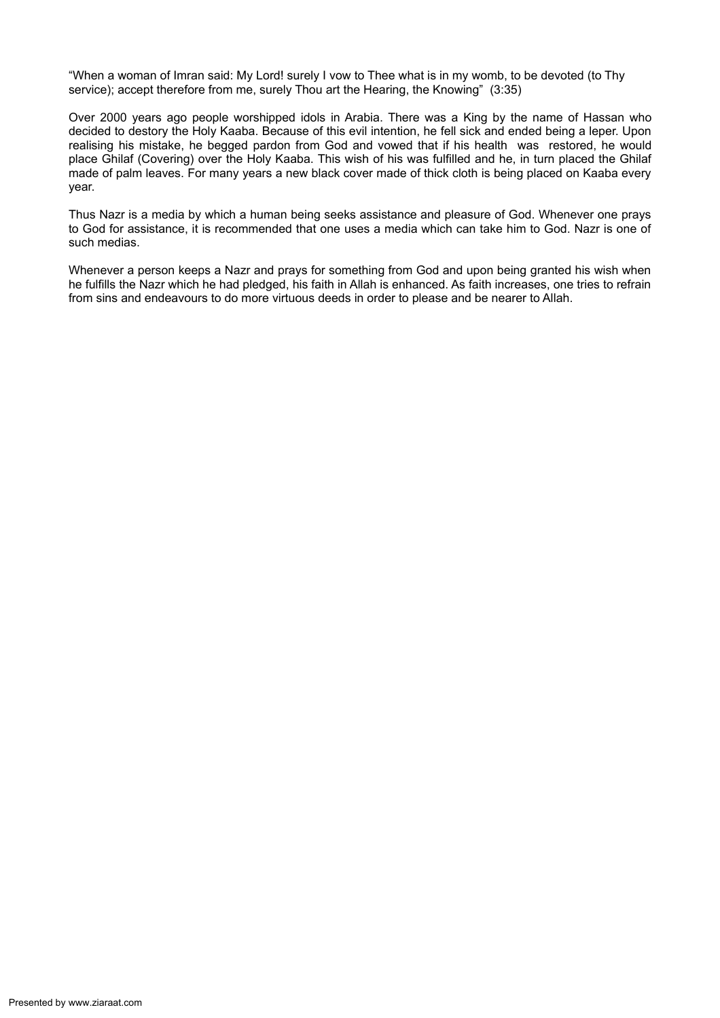"When a woman of Imran said: My Lord! surely I vow to Thee what is in my womb, to be devoted (to Thy service); accept therefore from me, surely Thou art the Hearing, the Knowing" (3:35)

Over 2000 years ago people worshipped idols in Arabia. There was a King by the name of Hassan who decided to destory the Holy Kaaba. Because of this evil intention, he fell sick and ended being a leper. Upon realising his mistake, he begged pardon from God and vowed that if his health was restored, he would place Ghilaf (Covering) over the Holy Kaaba. This wish of his was fulfilled and he, in turn placed the Ghilaf made of palm leaves. For many years a new black cover made of thick cloth is being placed on Kaaba every year.

Thus Nazr is a media by which a human being seeks assistance and pleasure of God. Whenever one prays to God for assistance, it is recommended that one uses a media which can take him to God. Nazr is one of such medias.

Whenever a person keeps a Nazr and prays for something from God and upon being granted his wish when he fulfills the Nazr which he had pledged, his faith in Allah is enhanced. As faith increases, one tries to refrain from sins and endeavours to do more virtuous deeds in order to please and be nearer to Allah.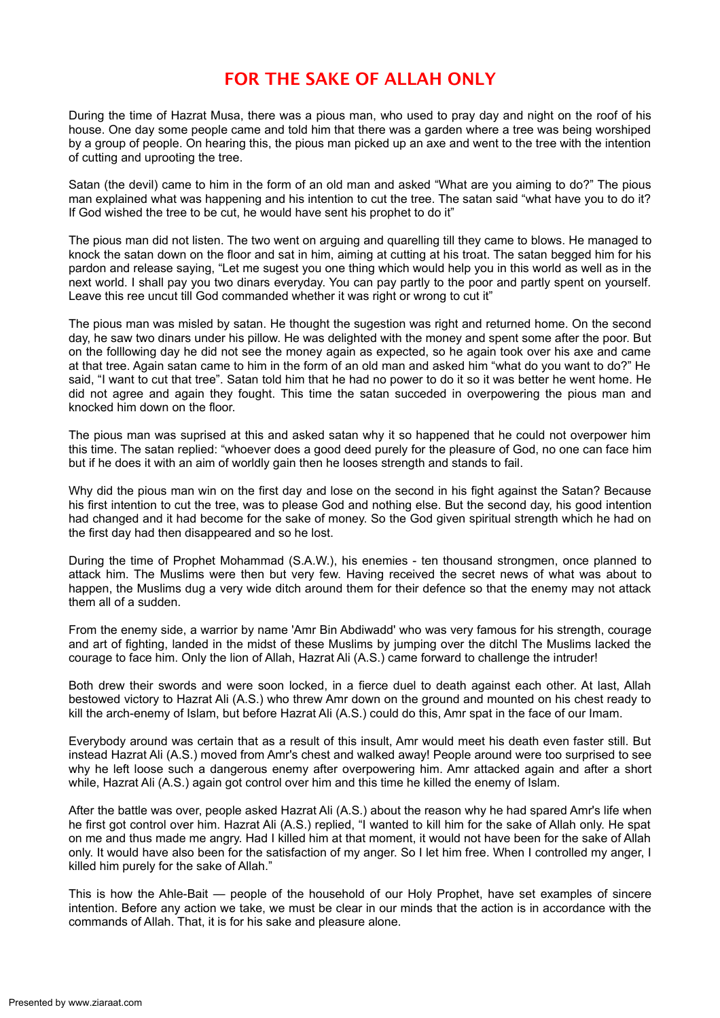# <span id="page-34-0"></span>FOR THE SAKE OF ALLAH ONLY

During the time of Hazrat Musa, there was a pious man, who used to pray day and night on the roof of his house. One day some people came and told him that there was a garden where a tree was being worshiped by a group of people. On hearing this, the pious man picked up an axe and went to the tree with the intention of cutting and uprooting the tree.

Satan (the devil) came to him in the form of an old man and asked "What are you aiming to do?" The pious man explained what was happening and his intention to cut the tree. The satan said "what have you to do it? If God wished the tree to be cut, he would have sent his prophet to do it"

The pious man did not listen. The two went on arguing and quarelling till they came to blows. He managed to knock the satan down on the floor and sat in him, aiming at cutting at his troat. The satan begged him for his pardon and release saying, "Let me sugest you one thing which would help you in this world as well as in the next world. I shall pay you two dinars everyday. You can pay partly to the poor and partly spent on yourself. Leave this ree uncut till God commanded whether it was right or wrong to cut it"

The pious man was misled by satan. He thought the sugestion was right and returned home. On the second day, he saw two dinars under his pillow. He was delighted with the money and spent some after the poor. But on the folllowing day he did not see the money again as expected, so he again took over his axe and came at that tree. Again satan came to him in the form of an old man and asked him "what do you want to do?" He said, "I want to cut that tree". Satan told him that he had no power to do it so it was better he went home. He did not agree and again they fought. This time the satan succeded in overpowering the pious man and knocked him down on the floor.

The pious man was suprised at this and asked satan why it so happened that he could not overpower him this time. The satan replied: "whoever does a good deed purely for the pleasure of God, no one can face him but if he does it with an aim of worldly gain then he looses strength and stands to fail.

Why did the pious man win on the first day and lose on the second in his fight against the Satan? Because his first intention to cut the tree, was to please God and nothing else. But the second day, his good intention had changed and it had become for the sake of money. So the God given spiritual strength which he had on the first day had then disappeared and so he lost.

During the time of Prophet Mohammad (S.A.W.), his enemies - ten thousand strongmen, once planned to attack him. The Muslims were then but very few. Having received the secret news of what was about to happen, the Muslims dug a very wide ditch around them for their defence so that the enemy may not attack them all of a sudden.

From the enemy side, a warrior by name 'Amr Bin Abdiwadd' who was very famous for his strength, courage and art of fighting, landed in the midst of these Muslims by jumping over the ditchl The Muslims lacked the courage to face him. Only the lion of Allah, Hazrat Ali (A.S.) came forward to challenge the intruder!

Both drew their swords and were soon locked, in a fierce duel to death against each other. At last, Allah bestowed victory to Hazrat Ali (A.S.) who threw Amr down on the ground and mounted on his chest ready to kill the arch-enemy of Islam, but before Hazrat Ali (A.S.) could do this, Amr spat in the face of our Imam.

Everybody around was certain that as a result of this insult, Amr would meet his death even faster still. But instead Hazrat Ali (A.S.) moved from Amr's chest and walked away! People around were too surprised to see why he left loose such a dangerous enemy after overpowering him. Amr attacked again and after a short while, Hazrat Ali (A.S.) again got control over him and this time he killed the enemy of Islam.

After the battle was over, people asked Hazrat Ali (A.S.) about the reason why he had spared Amr's life when he first got control over him. Hazrat Ali (A.S.) replied, "I wanted to kill him for the sake of Allah only. He spat on me and thus made me angry. Had I killed him at that moment, it would not have been for the sake of Allah only. It would have also been for the satisfaction of my anger. So I let him free. When I controlled my anger, I killed him purely for the sake of Allah."

This is how the Ahle-Bait — people of the household of our Holy Prophet, have set examples of sincere intention. Before any action we take, we must be clear in our minds that the action is in accordance with the commands of Allah. That, it is for his sake and pleasure alone.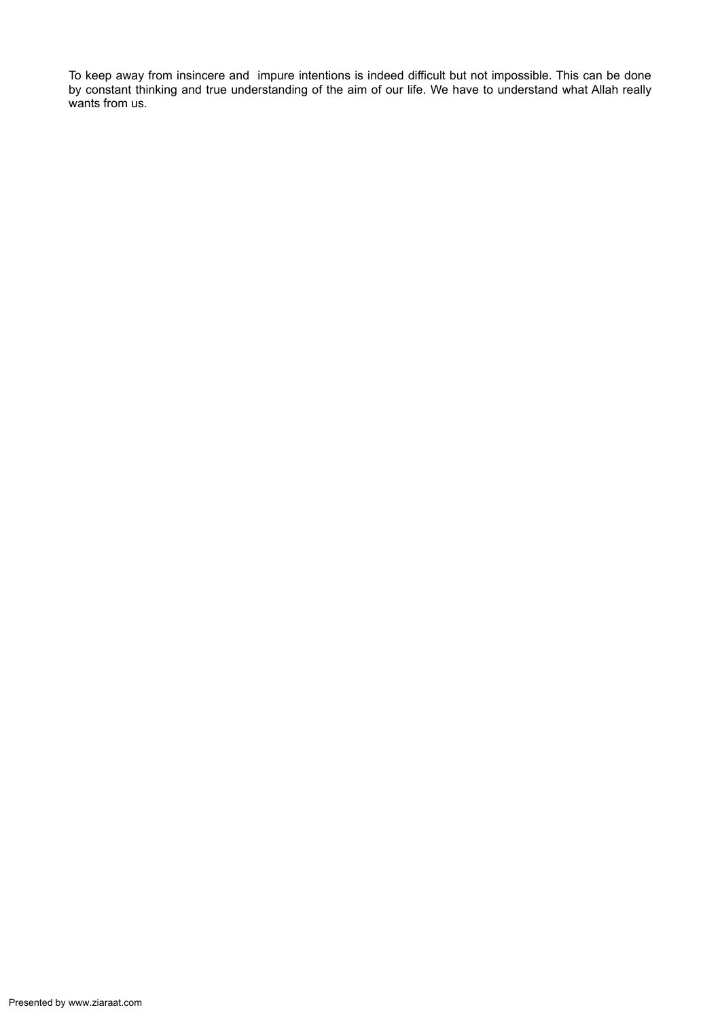To keep away from insincere and impure intentions is indeed difficult but not impossible. This can be done by constant thinking and true understanding of the aim of our life. We have to understand what Allah really wants from us.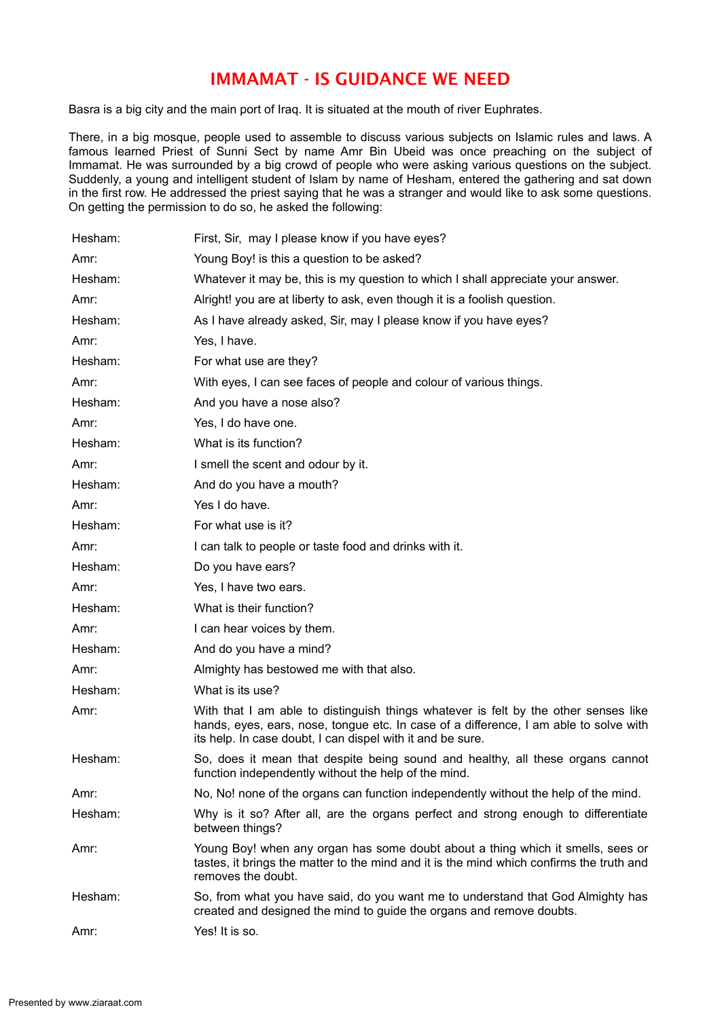# <span id="page-36-0"></span>IMMAMAT - IS GUIDANCE WE NEED

Basra is a big city and the main port of Iraq. It is situated at the mouth of river Euphrates.

There, in a big mosque, people used to assemble to discuss various subjects on Islamic rules and laws. A famous learned Priest of Sunni Sect by name Amr Bin Ubeid was once preaching on the subject of Immamat. He was surrounded by a big crowd of people who were asking various questions on the subject. Suddenly, a young and intelligent student of Islam by name of Hesham, entered the gathering and sat down in the first row. He addressed the priest saying that he was a stranger and would like to ask some questions. On getting the permission to do so, he asked the following:

| Hesham: | First, Sir, may I please know if you have eyes?                                                                                                                                                                                            |
|---------|--------------------------------------------------------------------------------------------------------------------------------------------------------------------------------------------------------------------------------------------|
| Amr:    | Young Boy! is this a question to be asked?                                                                                                                                                                                                 |
| Hesham: | Whatever it may be, this is my question to which I shall appreciate your answer.                                                                                                                                                           |
| Amr:    | Alright! you are at liberty to ask, even though it is a foolish question.                                                                                                                                                                  |
| Hesham: | As I have already asked, Sir, may I please know if you have eyes?                                                                                                                                                                          |
| Amr:    | Yes, I have.                                                                                                                                                                                                                               |
| Hesham: | For what use are they?                                                                                                                                                                                                                     |
| Amr:    | With eyes, I can see faces of people and colour of various things.                                                                                                                                                                         |
| Hesham: | And you have a nose also?                                                                                                                                                                                                                  |
| Amr:    | Yes, I do have one.                                                                                                                                                                                                                        |
| Hesham: | What is its function?                                                                                                                                                                                                                      |
| Amr:    | I smell the scent and odour by it.                                                                                                                                                                                                         |
| Hesham: | And do you have a mouth?                                                                                                                                                                                                                   |
| Amr:    | Yes I do have.                                                                                                                                                                                                                             |
| Hesham: | For what use is it?                                                                                                                                                                                                                        |
| Amr:    | I can talk to people or taste food and drinks with it.                                                                                                                                                                                     |
| Hesham: | Do you have ears?                                                                                                                                                                                                                          |
| Amr:    | Yes, I have two ears.                                                                                                                                                                                                                      |
| Hesham: | What is their function?                                                                                                                                                                                                                    |
| Amr:    | I can hear voices by them.                                                                                                                                                                                                                 |
| Hesham: | And do you have a mind?                                                                                                                                                                                                                    |
| Amr:    | Almighty has bestowed me with that also.                                                                                                                                                                                                   |
| Hesham: | What is its use?                                                                                                                                                                                                                           |
| Amr:    | With that I am able to distinguish things whatever is felt by the other senses like<br>hands, eyes, ears, nose, tongue etc. In case of a difference, I am able to solve with<br>its help. In case doubt, I can dispel with it and be sure. |
| Hesham: | So, does it mean that despite being sound and healthy, all these organs cannot<br>function independently without the help of the mind.                                                                                                     |
| Amr:    | No, No! none of the organs can function independently without the help of the mind.                                                                                                                                                        |
| Hesham: | Why is it so? After all, are the organs perfect and strong enough to differentiate<br>between things?                                                                                                                                      |
| Amr:    | Young Boy! when any organ has some doubt about a thing which it smells, sees or<br>tastes, it brings the matter to the mind and it is the mind which confirms the truth and<br>removes the doubt.                                          |
| Hesham: | So, from what you have said, do you want me to understand that God Almighty has<br>created and designed the mind to guide the organs and remove doubts.                                                                                    |
| Amr:    | Yes! It is so.                                                                                                                                                                                                                             |
|         |                                                                                                                                                                                                                                            |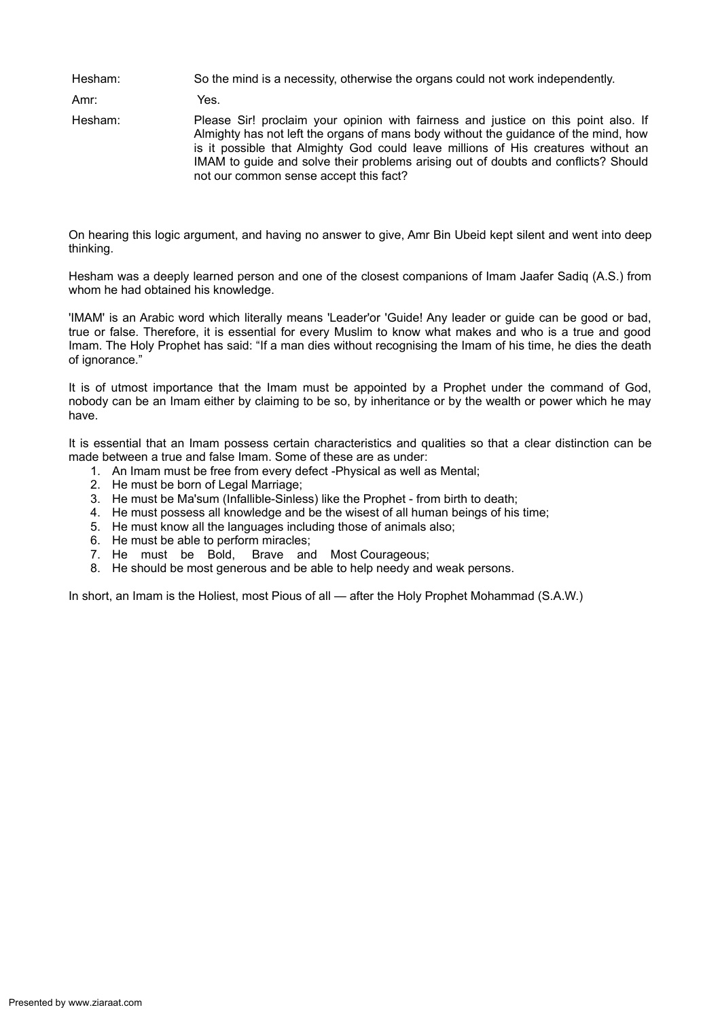Hesham: So the mind is a necessity, otherwise the organs could not work independently.

Amr: Yes.

Hesham: Please Sir! proclaim your opinion with fairness and justice on this point also. If Almighty has not left the organs of mans body without the guidance of the mind, how is it possible that Almighty God could leave millions of His creatures without an IMAM to guide and solve their problems arising out of doubts and conflicts? Should not our common sense accept this fact?

On hearing this logic argument, and having no answer to give, Amr Bin Ubeid kept silent and went into deep thinking.

Hesham was a deeply learned person and one of the closest companions of Imam Jaafer Sadiq (A.S.) from whom he had obtained his knowledge.

'IMAM' is an Arabic word which literally means 'Leader'or 'Guide! Any leader or guide can be good or bad, true or false. Therefore, it is essential for every Muslim to know what makes and who is a true and good Imam. The Holy Prophet has said: "If a man dies without recognising the Imam of his time, he dies the death of ignorance."

It is of utmost importance that the Imam must be appointed by a Prophet under the command of God, nobody can be an Imam either by claiming to be so, by inheritance or by the wealth or power which he may have.

It is essential that an Imam possess certain characteristics and qualities so that a clear distinction can be made between a true and false Imam. Some of these are as under:

- 1. An Imam must be free from every defect -Physical as well as Mental;
- 2. He must be born of Legal Marriage;
- 3. He must be Ma'sum (Infallible-Sinless) like the Prophet from birth to death;
- 4. He must possess all knowledge and be the wisest of all human beings of his time;
- 5. He must know all the languages including those of animals also;
- 6. He must be able to perform miracles;
- 7. He must be Bold, Brave and Most Courageous;
- 8. He should be most generous and be able to help needy and weak persons.

In short, an Imam is the Holiest, most Pious of all — after the Holy Prophet Mohammad (S.A.W.)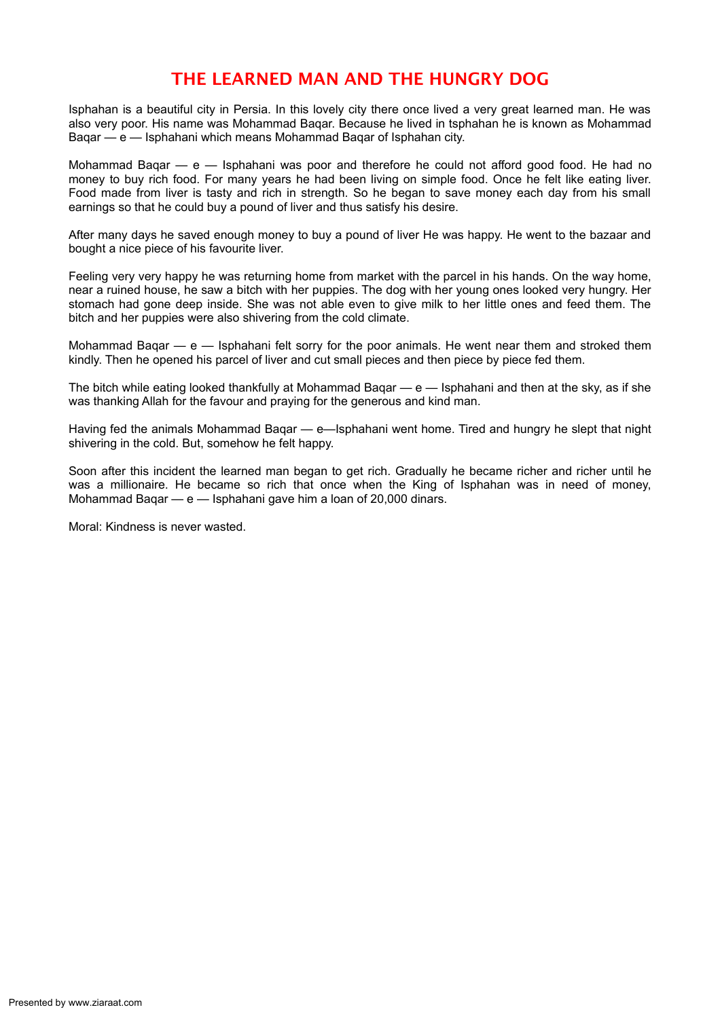# <span id="page-38-0"></span>THE LEARNED MAN AND THE HUNGRY DOG

Isphahan is a beautiful city in Persia. In this lovely city there once lived a very great learned man. He was also very poor. His name was Mohammad Baqar. Because he lived in tsphahan he is known as Mohammad Baqar — e — Isphahani which means Mohammad Baqar of Isphahan city.

Mohammad Baqar — e — Isphahani was poor and therefore he could not afford good food. He had no money to buy rich food. For many years he had been living on simple food. Once he felt like eating liver. Food made from liver is tasty and rich in strength. So he began to save money each day from his small earnings so that he could buy a pound of liver and thus satisfy his desire.

After many days he saved enough money to buy a pound of liver He was happy. He went to the bazaar and bought a nice piece of his favourite liver.

Feeling very very happy he was returning home from market with the parcel in his hands. On the way home, near a ruined house, he saw a bitch with her puppies. The dog with her young ones looked very hungry. Her stomach had gone deep inside. She was not able even to give milk to her little ones and feed them. The bitch and her puppies were also shivering from the cold climate.

Mohammad Bagar  $-e$  — Isphahani felt sorry for the poor animals. He went near them and stroked them kindly. Then he opened his parcel of liver and cut small pieces and then piece by piece fed them.

The bitch while eating looked thankfully at Mohammad Baqar — e — Isphahani and then at the sky, as if she was thanking Allah for the favour and praying for the generous and kind man.

Having fed the animals Mohammad Baqar — e—Isphahani went home. Tired and hungry he slept that night shivering in the cold. But, somehow he felt happy.

Soon after this incident the learned man began to get rich. Gradually he became richer and richer until he was a millionaire. He became so rich that once when the King of Isphahan was in need of money, Mohammad Baqar — e — Isphahani gave him a loan of 20,000 dinars.

Moral: Kindness is never wasted.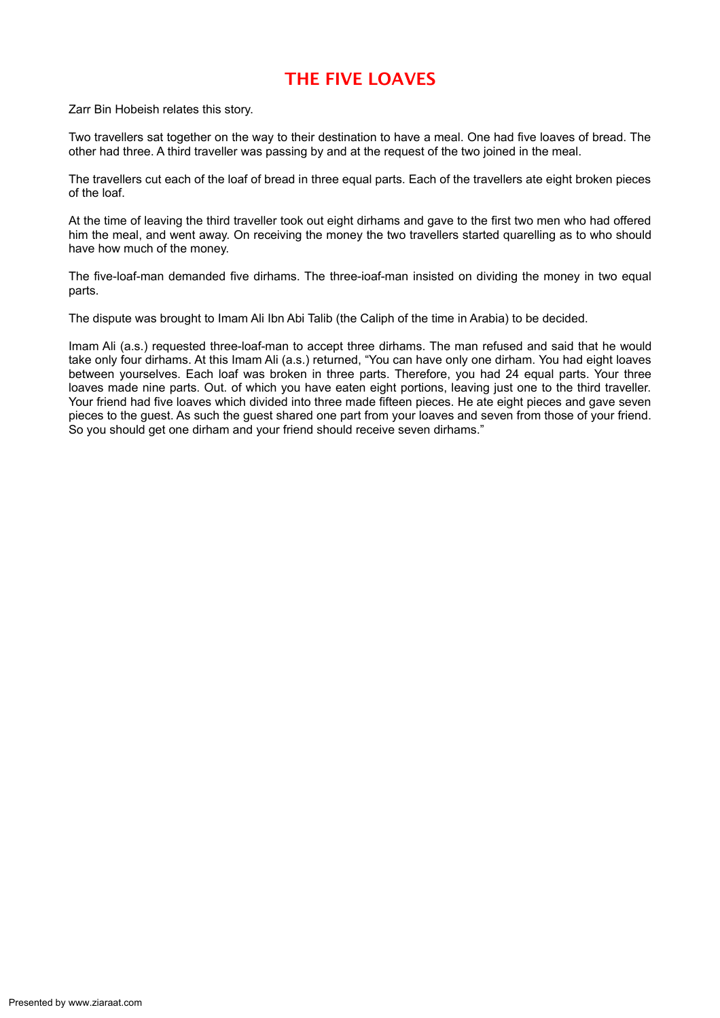# <span id="page-39-0"></span>THE FIVE LOAVES

Zarr Bin Hobeish relates this story.

Two travellers sat together on the way to their destination to have a meal. One had five loaves of bread. The other had three. A third traveller was passing by and at the request of the two joined in the meal.

The travellers cut each of the loaf of bread in three equal parts. Each of the travellers ate eight broken pieces of the loaf.

At the time of leaving the third traveller took out eight dirhams and gave to the first two men who had offered him the meal, and went away. On receiving the money the two travellers started quarelling as to who should have how much of the money.

The five-loaf-man demanded five dirhams. The three-ioaf-man insisted on dividing the money in two equal parts.

The dispute was brought to Imam Ali Ibn Abi Talib (the Caliph of the time in Arabia) to be decided.

Imam Ali (a.s.) requested three-loaf-man to accept three dirhams. The man refused and said that he would take only four dirhams. At this Imam Ali (a.s.) returned, "You can have only one dirham. You had eight loaves between yourselves. Each loaf was broken in three parts. Therefore, you had 24 equal parts. Your three loaves made nine parts. Out. of which you have eaten eight portions, leaving just one to the third traveller. Your friend had five loaves which divided into three made fifteen pieces. He ate eight pieces and gave seven pieces to the guest. As such the guest shared one part from your loaves and seven from those of your friend. So you should get one dirham and your friend should receive seven dirhams."